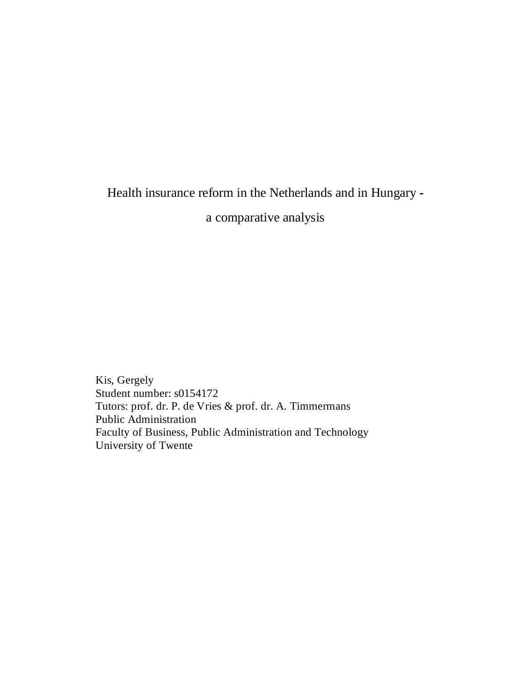Health insurance reform in the Netherlands and in Hungary **-**

a comparative analysis

Kis, Gergely Student number: s0154172 Tutors: prof. dr. P. de Vries & prof. dr. A. Timmermans Public Administration Faculty of Business, Public Administration and Technology University of Twente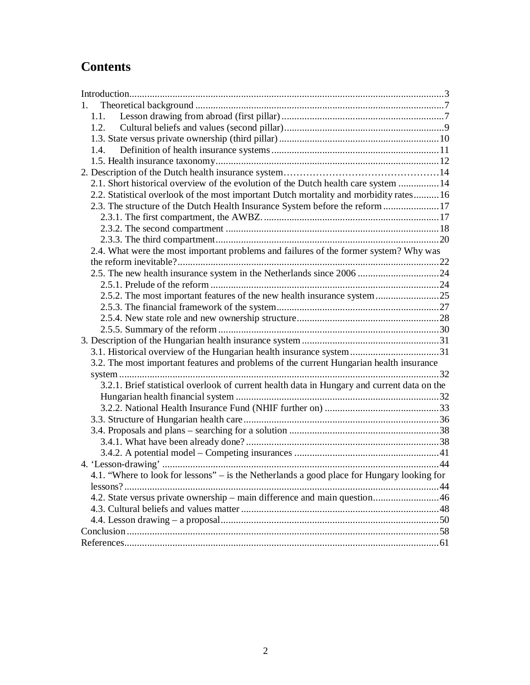# **Contents**

| $1_{-}$                                                                                     |  |  |
|---------------------------------------------------------------------------------------------|--|--|
| 1.1.                                                                                        |  |  |
| 1.2.                                                                                        |  |  |
|                                                                                             |  |  |
| 1.4.                                                                                        |  |  |
|                                                                                             |  |  |
|                                                                                             |  |  |
| 2.1. Short historical overview of the evolution of the Dutch health care system  14         |  |  |
| 2.2. Statistical overlook of the most important Dutch mortality and morbidity rates 16      |  |  |
| 2.3. The structure of the Dutch Health Insurance System before the reform 17                |  |  |
|                                                                                             |  |  |
|                                                                                             |  |  |
|                                                                                             |  |  |
| 2.4. What were the most important problems and failures of the former system? Why was       |  |  |
|                                                                                             |  |  |
| 2.5. The new health insurance system in the Netherlands since 2006 24                       |  |  |
|                                                                                             |  |  |
| 2.5.2. The most important features of the new health insurance system 25                    |  |  |
|                                                                                             |  |  |
|                                                                                             |  |  |
|                                                                                             |  |  |
|                                                                                             |  |  |
| 3.1. Historical overview of the Hungarian health insurance system 31                        |  |  |
| 3.2. The most important features and problems of the current Hungarian health insurance     |  |  |
|                                                                                             |  |  |
| 3.2.1. Brief statistical overlook of current health data in Hungary and current data on the |  |  |
|                                                                                             |  |  |
|                                                                                             |  |  |
|                                                                                             |  |  |
|                                                                                             |  |  |
|                                                                                             |  |  |
|                                                                                             |  |  |
|                                                                                             |  |  |
| 4.1. "Where to look for lessons" – is the Netherlands a good place for Hungary looking for  |  |  |
|                                                                                             |  |  |
| 4.2. State versus private ownership – main difference and main question46                   |  |  |
|                                                                                             |  |  |
|                                                                                             |  |  |
|                                                                                             |  |  |
|                                                                                             |  |  |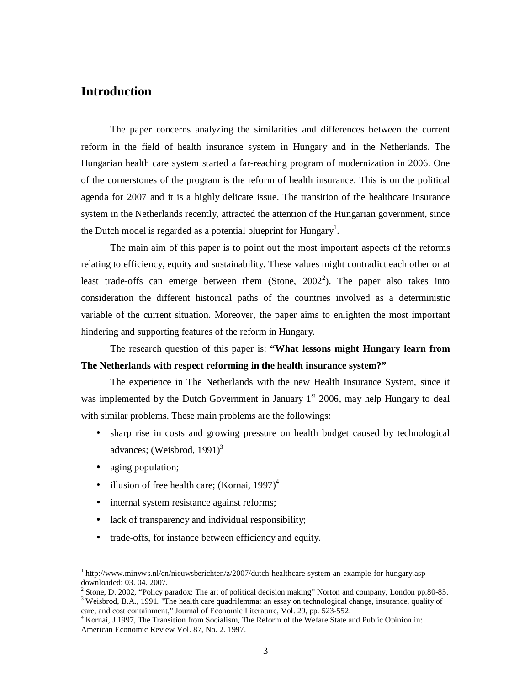## **Introduction**

The paper concerns analyzing the similarities and differences between the current reform in the field of health insurance system in Hungary and in the Netherlands. The Hungarian health care system started a far-reaching program of modernization in 2006. One of the cornerstones of the program is the reform of health insurance. This is on the political agenda for 2007 and it is a highly delicate issue. The transition of the healthcare insurance system in the Netherlands recently, attracted the attention of the Hungarian government, since the Dutch model is regarded as a potential blueprint for Hungary<sup>1</sup>.

The main aim of this paper is to point out the most important aspects of the reforms relating to efficiency, equity and sustainability. These values might contradict each other or at least trade-offs can emerge between them (Stone,  $2002^2$ ). The paper also takes into consideration the different historical paths of the countries involved as a deterministic variable of the current situation. Moreover, the paper aims to enlighten the most important hindering and supporting features of the reform in Hungary.

The research question of this paper is: **"What lessons might Hungary learn from The Netherlands with respect reforming in the health insurance system?"**

The experience in The Netherlands with the new Health Insurance System, since it was implemented by the Dutch Government in January  $1<sup>st</sup>$  2006, may help Hungary to deal with similar problems. These main problems are the followings:

- sharp rise in costs and growing pressure on health budget caused by technological advances; (Weisbrod,  $1991$ )<sup>3</sup>
- aging population;

- illusion of free health care; (Kornai, 1997) $<sup>4</sup>$ </sup>
- internal system resistance against reforms;
- lack of transparency and individual responsibility;
- trade-offs, for instance between efficiency and equity.

<sup>&</sup>lt;sup>1</sup> <http://www.minvws.nl/en/nieuwsberichten/z/2007/dutch-healthcare-system-an-example-for-hungary.asp> downloaded: 03. 04. 2007.

<sup>&</sup>lt;sup>2</sup> Stone, D. 2002, "Policy paradox: The art of political decision making" Norton and company, London pp.80-85.

<sup>&</sup>lt;sup>3</sup> Weisbrod, B.A., 1991. "The health care quadrilemma: an essay on technological change, insurance, quality of care, and cost containment," Journal of Economic Literature, Vol. 29, pp. 523-552.

<sup>4</sup> Kornai, J 1997, The Transition from Socialism, The Reform of the Wefare State and Public Opinion in: American Economic Review Vol. 87, No. 2. 1997.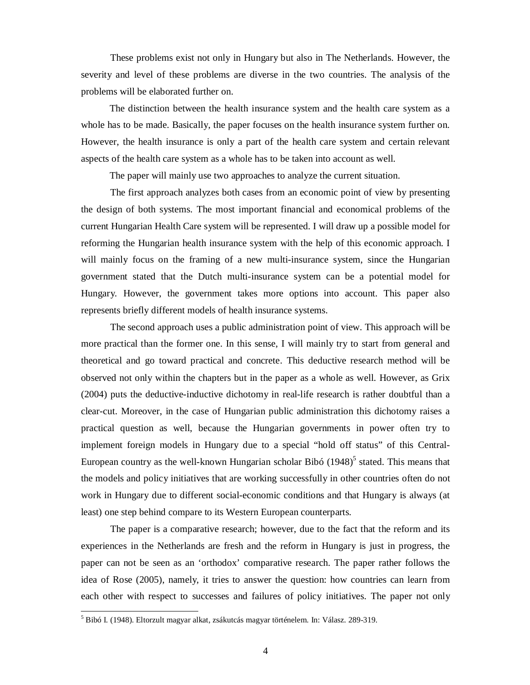These problems exist not only in Hungary but also in The Netherlands. However, the severity and level of these problems are diverse in the two countries. The analysis of the problems will be elaborated further on.

The distinction between the health insurance system and the health care system as a whole has to be made. Basically, the paper focuses on the health insurance system further on. However, the health insurance is only a part of the health care system and certain relevant aspects of the health care system as a whole has to be taken into account as well.

The paper will mainly use two approaches to analyze the current situation.

The first approach analyzes both cases from an economic point of view by presenting the design of both systems. The most important financial and economical problems of the current Hungarian Health Care system will be represented. I will draw up a possible model for reforming the Hungarian health insurance system with the help of this economic approach. I will mainly focus on the framing of a new multi-insurance system, since the Hungarian government stated that the Dutch multi-insurance system can be a potential model for Hungary. However, the government takes more options into account. This paper also represents briefly different models of health insurance systems.

The second approach uses a public administration point of view. This approach will be more practical than the former one. In this sense, I will mainly try to start from general and theoretical and go toward practical and concrete. This deductive research method will be observed not only within the chapters but in the paper as a whole as well. However, as Grix (2004) puts the deductive-inductive dichotomy in real-life research is rather doubtful than a clear-cut. Moreover, in the case of Hungarian public administration this dichotomy raises a practical question as well, because the Hungarian governments in power often try to implement foreign models in Hungary due to a special "hold off status" of this Central-European country as the well-known Hungarian scholar Bibó  $(1948)^5$  stated. This means that the models and policy initiatives that are working successfully in other countries often do not work in Hungary due to different social-economic conditions and that Hungary is always (at least) one step behind compare to its Western European counterparts.

The paper is a comparative research; however, due to the fact that the reform and its experiences in the Netherlands are fresh and the reform in Hungary is just in progress, the paper can not be seen as an 'orthodox' comparative research. The paper rather follows the idea of Rose (2005), namely, it tries to answer the question: how countries can learn from each other with respect to successes and failures of policy initiatives. The paper not only

 $^5$  Bibó I. (1948). Eltorzult magyar alkat, zsákutcás magyar történelem. In: Válasz. 289-319.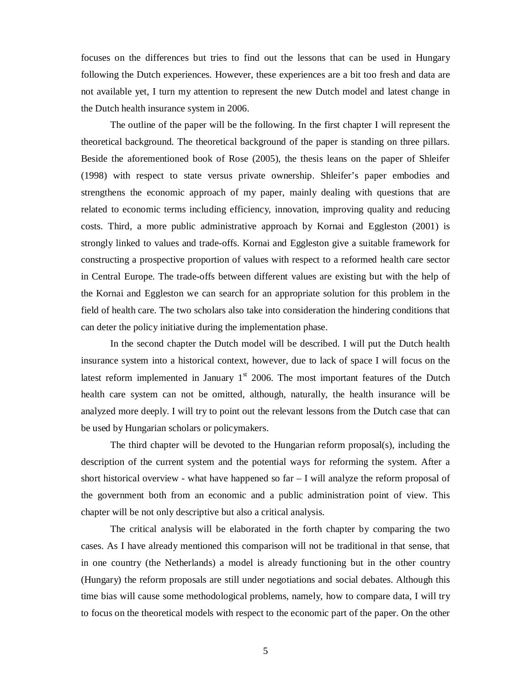focuses on the differences but tries to find out the lessons that can be used in Hungary following the Dutch experiences. However, these experiences are a bit too fresh and data are not available yet, I turn my attention to represent the new Dutch model and latest change in the Dutch health insurance system in 2006.

The outline of the paper will be the following. In the first chapter I will represent the theoretical background. The theoretical background of the paper is standing on three pillars. Beside the aforementioned book of Rose (2005), the thesis leans on the paper of Shleifer (1998) with respect to state versus private ownership. Shleifer's paper embodies and strengthens the economic approach of my paper, mainly dealing with questions that are related to economic terms including efficiency, innovation, improving quality and reducing costs. Third, a more public administrative approach by Kornai and Eggleston (2001) is strongly linked to values and trade-offs. Kornai and Eggleston give a suitable framework for constructing a prospective proportion of values with respect to a reformed health care sector in Central Europe. The trade-offs between different values are existing but with the help of the Kornai and Eggleston we can search for an appropriate solution for this problem in the field of health care. The two scholars also take into consideration the hindering conditions that can deter the policy initiative during the implementation phase.

In the second chapter the Dutch model will be described. I will put the Dutch health insurance system into a historical context, however, due to lack of space I will focus on the latest reform implemented in January  $1<sup>st</sup>$  2006. The most important features of the Dutch health care system can not be omitted, although, naturally, the health insurance will be analyzed more deeply. I will try to point out the relevant lessons from the Dutch case that can be used by Hungarian scholars or policymakers.

The third chapter will be devoted to the Hungarian reform proposal(s), including the description of the current system and the potential ways for reforming the system. After a short historical overview - what have happened so far – I will analyze the reform proposal of the government both from an economic and a public administration point of view. This chapter will be not only descriptive but also a critical analysis.

The critical analysis will be elaborated in the forth chapter by comparing the two cases. As I have already mentioned this comparison will not be traditional in that sense, that in one country (the Netherlands) a model is already functioning but in the other country (Hungary) the reform proposals are still under negotiations and social debates. Although this time bias will cause some methodological problems, namely, how to compare data, I will try to focus on the theoretical models with respect to the economic part of the paper. On the other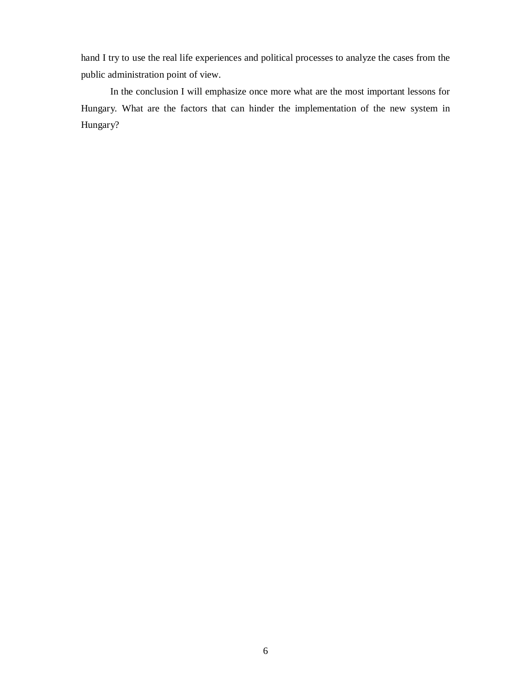hand I try to use the real life experiences and political processes to analyze the cases from the public administration point of view.

In the conclusion I will emphasize once more what are the most important lessons for Hungary. What are the factors that can hinder the implementation of the new system in Hungary?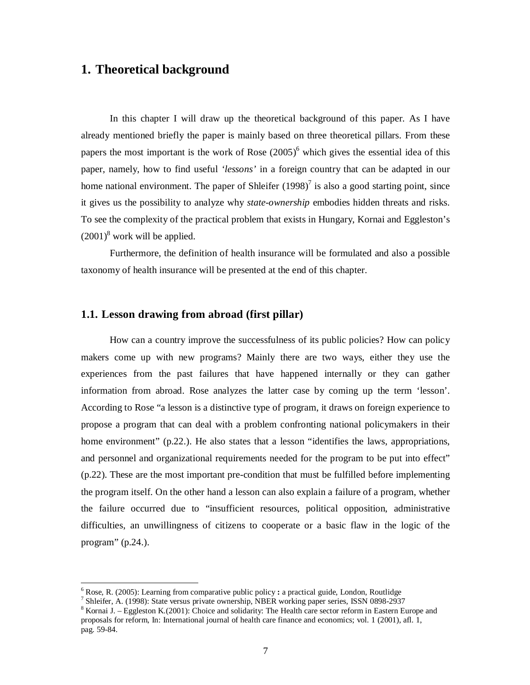## **1. Theoretical background**

In this chapter I will draw up the theoretical background of this paper. As I have already mentioned briefly the paper is mainly based on three theoretical pillars. From these papers the most important is the work of Rose  $(2005)^6$  which gives the essential idea of this paper, namely, how to find useful *'lessons'* in a foreign country that can be adapted in our home national environment. The paper of Shleifer  $(1998)^7$  is also a good starting point, since it gives us the possibility to analyze why *state-ownership* embodies hidden threats and risks. To see the complexity of the practical problem that exists in Hungary, Kornai and Eggleston's  $(2001)^8$  work will be applied.

Furthermore, the definition of health insurance will be formulated and also a possible taxonomy of health insurance will be presented at the end of this chapter.

### **1.1. Lesson drawing from abroad (first pillar)**

How can a country improve the successfulness of its public policies? How can policy makers come up with new programs? Mainly there are two ways, either they use the experiences from the past failures that have happened internally or they can gather information from abroad. Rose analyzes the latter case by coming up the term 'lesson'. According to Rose "a lesson is a distinctive type of program, it draws on foreign experience to propose a program that can deal with a problem confronting national policymakers in their home environment" (p.22.). He also states that a lesson "identifies the laws, appropriations, and personnel and organizational requirements needed for the program to be put into effect" (p.22). These are the most important pre-condition that must be fulfilled before implementing the program itself. On the other hand a lesson can also explain a failure of a program, whether the failure occurred due to "insufficient resources, political opposition, administrative difficulties, an unwillingness of citizens to cooperate or a basic flaw in the logic of the program" (p.24.).

 $\overline{a}$ 

<sup>6</sup> Rose, R. (2005): Learning from comparative public policy **:** a practical guide, London, Routlidge

<sup>&</sup>lt;sup>7</sup> Shleifer, A. (1998): State versus private ownership, NBER working paper series, ISSN 0898-2937

<sup>&</sup>lt;sup>8</sup> Kornai J. – Eggleston K.(2001): Choice and solidarity: The Health care sector reform in Eastern Europe and proposals for reform, In: International journal of health care finance and economics; vol. 1 (2001), afl. 1, pag. 59-84.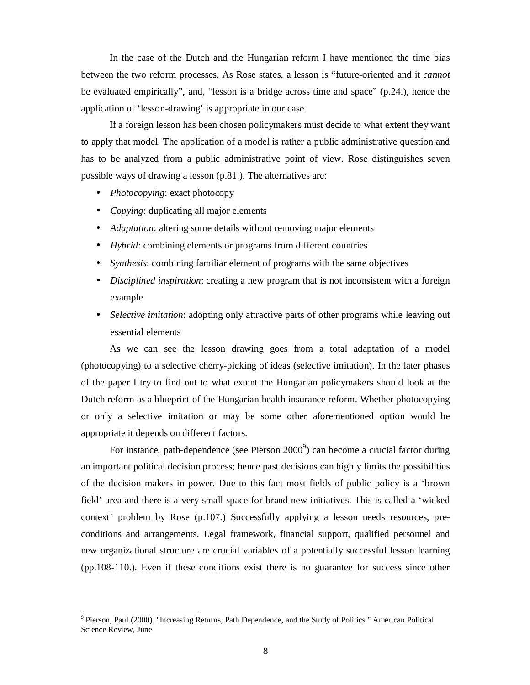In the case of the Dutch and the Hungarian reform I have mentioned the time bias between the two reform processes. As Rose states, a lesson is "future-oriented and it *cannot* be evaluated empirically", and, "lesson is a bridge across time and space" (p.24.), hence the application of 'lesson-drawing' is appropriate in our case.

If a foreign lesson has been chosen policymakers must decide to what extent they want to apply that model. The application of a model is rather a public administrative question and has to be analyzed from a public administrative point of view. Rose distinguishes seven possible ways of drawing a lesson (p.81.). The alternatives are:

• *Photocopying*: exact photocopy

-

- *Copying*: duplicating all major elements
- *Adaptation*: altering some details without removing major elements
- *Hybrid*: combining elements or programs from different countries
- *Synthesis*: combining familiar element of programs with the same objectives
- *Disciplined inspiration*: creating a new program that is not inconsistent with a foreign example
- *Selective imitation*: adopting only attractive parts of other programs while leaving out essential elements

As we can see the lesson drawing goes from a total adaptation of a model (photocopying) to a selective cherry-picking of ideas (selective imitation). In the later phases of the paper I try to find out to what extent the Hungarian policymakers should look at the Dutch reform as a blueprint of the Hungarian health insurance reform. Whether photocopying or only a selective imitation or may be some other aforementioned option would be appropriate it depends on different factors.

For instance, path-dependence (see Pierson  $2000^9$ ) can become a crucial factor during an important political decision process; hence past decisions can highly limits the possibilities of the decision makers in power. Due to this fact most fields of public policy is a 'brown field' area and there is a very small space for brand new initiatives. This is called a 'wicked context' problem by Rose (p.107.) Successfully applying a lesson needs resources, preconditions and arrangements. Legal framework, financial support, qualified personnel and new organizational structure are crucial variables of a potentially successful lesson learning (pp.108-110.). Even if these conditions exist there is no guarantee for success since other

<sup>&</sup>lt;sup>9</sup> Pierson, Paul (2000). "Increasing Returns, Path Dependence, and the Study of Politics." American Political Science Review, June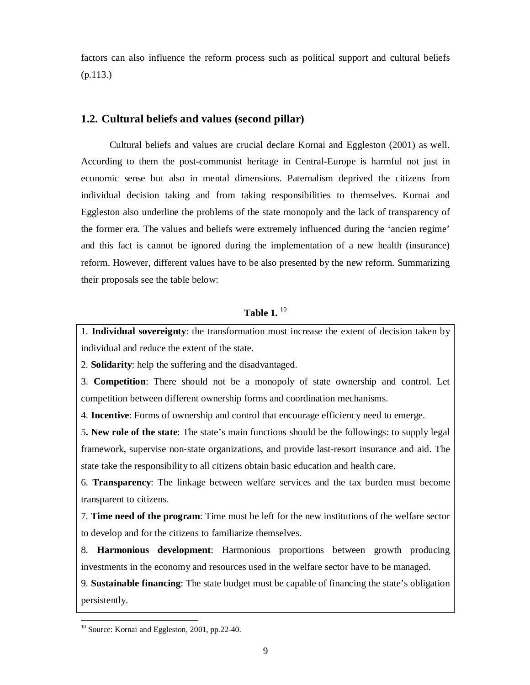factors can also influence the reform process such as political support and cultural beliefs (p.113.)

## **1.2. Cultural beliefs and values (second pillar)**

Cultural beliefs and values are crucial declare Kornai and Eggleston (2001) as well. According to them the post-communist heritage in Central-Europe is harmful not just in economic sense but also in mental dimensions. Paternalism deprived the citizens from individual decision taking and from taking responsibilities to themselves. Kornai and Eggleston also underline the problems of the state monopoly and the lack of transparency of the former era. The values and beliefs were extremely influenced during the 'ancien regime' and this fact is cannot be ignored during the implementation of a new health (insurance) reform. However, different values have to be also presented by the new reform. Summarizing their proposals see the table below:

## **Table 1.**  10

1. **Individual sovereignty**: the transformation must increase the extent of decision taken by individual and reduce the extent of the state.

2. **Solidarity**: help the suffering and the disadvantaged.

3. **Competition**: There should not be a monopoly of state ownership and control. Let competition between different ownership forms and coordination mechanisms.

4. **Incentive**: Forms of ownership and control that encourage efficiency need to emerge.

5**. New role of the state**: The state's main functions should be the followings: to supply legal framework, supervise non-state organizations, and provide last-resort insurance and aid. The state take the responsibility to all citizens obtain basic education and health care.

6. **Transparency**: The linkage between welfare services and the tax burden must become transparent to citizens.

7. **Time need of the program**: Time must be left for the new institutions of the welfare sector to develop and for the citizens to familiarize themselves.

8. **Harmonious development**: Harmonious proportions between growth producing investments in the economy and resources used in the welfare sector have to be managed.

9. **Sustainable financing**: The state budget must be capable of financing the state's obligation persistently.

<sup>&</sup>lt;sup>10</sup> Source: Kornai and Eggleston, 2001, pp.22-40.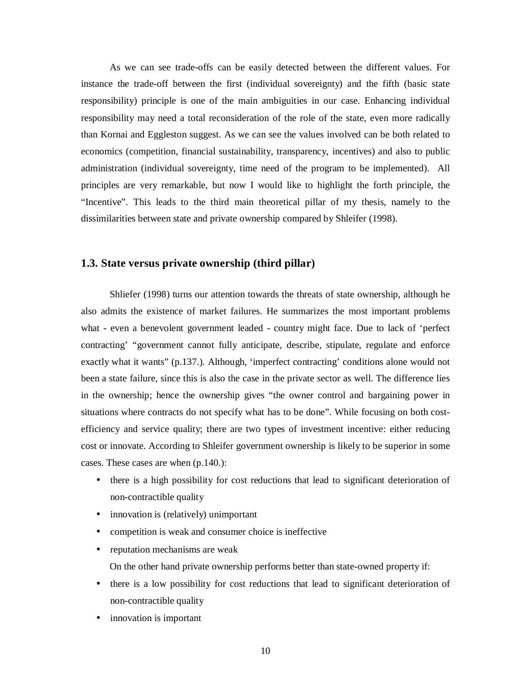As we can see trade-offs can be easily detected between the different values. For instance the trade-off between the first (individual sovereignty) and the fifth (basic state responsibility) principle is one of the main ambiguities in our case. Enhancing individual responsibility may need a total reconsideration of the role of the state, even more radically than Kornai and Eggleston suggest. As we can see the values involved can be both related to economics (competition, financial sustainability, transparency, incentives) and also to public administration (individual sovereignty, time need of the program to be implemented). All principles are very remarkable, but now I would like to highlight the forth principle, the "Incentive". This leads to the third main theoretical pillar of my thesis, namely to the dissimilarities between state and private ownership compared by Shleifer (1998).

### **1.3. State versus private ownership (third pillar)**

Shliefer (1998) turns our attention towards the threats of state ownership, although he also admits the existence of market failures. He summarizes the most important problems what - even a benevolent government leaded - country might face. Due to lack of 'perfect contracting' "government cannot fully anticipate, describe, stipulate, regulate and enforce exactly what it wants" (p.137.). Although, 'imperfect contracting' conditions alone would not been a state failure, since this is also the case in the private sector as well. The difference lies in the ownership; hence the ownership gives "the owner control and bargaining power in situations where contracts do not specify what has to be done". While focusing on both costefficiency and service quality; there are two types of investment incentive: either reducing cost or innovate. According to Shleifer government ownership is likely to be superior in some cases. These cases are when (p.140.):

- there is a high possibility for cost reductions that lead to significant deterioration of non-contractible quality
- innovation is (relatively) unimportant
- competition is weak and consumer choice is ineffective
- reputation mechanisms are weak
	- On the other hand private ownership performs better than state-owned property if:
- there is a low possibility for cost reductions that lead to significant deterioration of non-contractible quality
- innovation is important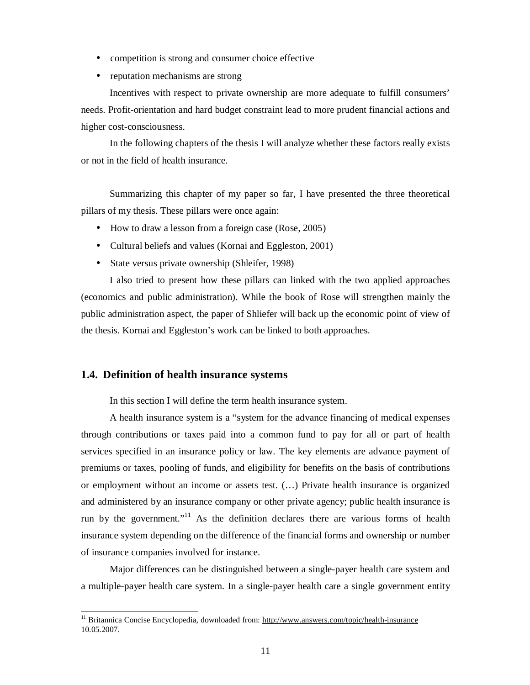- competition is strong and consumer choice effective
- reputation mechanisms are strong

Incentives with respect to private ownership are more adequate to fulfill consumers' needs. Profit-orientation and hard budget constraint lead to more prudent financial actions and higher cost-consciousness.

In the following chapters of the thesis I will analyze whether these factors really exists or not in the field of health insurance.

Summarizing this chapter of my paper so far, I have presented the three theoretical pillars of my thesis. These pillars were once again:

- How to draw a lesson from a foreign case (Rose, 2005)
- Cultural beliefs and values (Kornai and Eggleston, 2001)
- State versus private ownership (Shleifer, 1998)

I also tried to present how these pillars can linked with the two applied approaches (economics and public administration). While the book of Rose will strengthen mainly the public administration aspect, the paper of Shliefer will back up the economic point of view of the thesis. Kornai and Eggleston's work can be linked to both approaches.

#### **1.4. Definition of health insurance systems**

-

In this section I will define the term health insurance system.

A health insurance system is a "system for the advance financing of medical expenses through contributions or taxes paid into a common fund to pay for all or part of health services specified in an insurance policy or law. The key elements are advance payment of premiums or taxes, pooling of funds, and eligibility for benefits on the basis of contributions or employment without an income or assets test. (…) Private health insurance is organized and administered by an insurance company or other private agency; public health insurance is run by the government."<sup>11</sup> As the definition declares there are various forms of health insurance system depending on the difference of the financial forms and ownership or number of insurance companies involved for instance.

Major differences can be distinguished between a single-payer health care system and a multiple-payer health care system. In a single-payer health care a single government entity

<sup>&</sup>lt;sup>11</sup> Britannica Concise Encyclopedia, downloaded from:<http://www.answers.com/topic/health-insurance> 10.05.2007.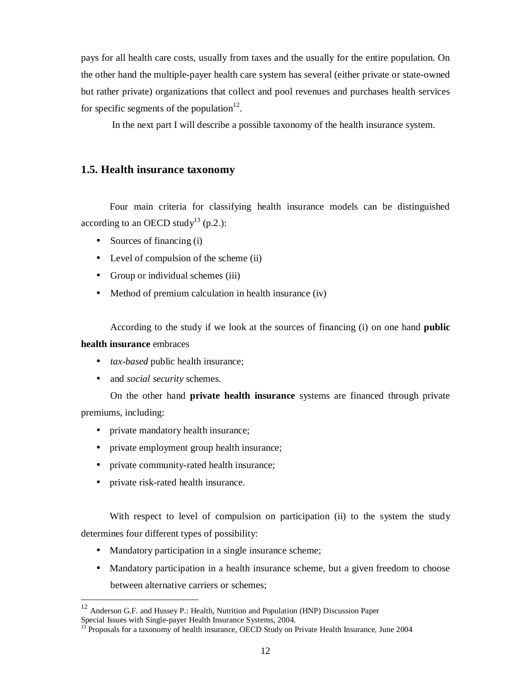pays for all health care costs, usually from taxes and the usually for the entire population. On the other hand the multiple-payer health care system has several (either private or state-owned but rather private) organizations that collect and pool revenues and purchases health services for specific segments of the population<sup>12</sup>.

In the next part I will describe a possible taxonomy of the health insurance system.

### **1.5. Health insurance taxonomy**

Four main criteria for classifying health insurance models can be distinguished according to an OECD study<sup>13</sup> (p.2.):

- Sources of financing (i)
- Level of compulsion of the scheme (ii)
- Group or individual schemes (iii)
- Method of premium calculation in health insurance (iv)

According to the study if we look at the sources of financing (i) on one hand **public** 

#### **health insurance** embraces

-

- *tax-based* public health insurance;
- and *social security* schemes.

On the other hand **private health insurance** systems are financed through private premiums, including:

- private mandatory health insurance;
- private employment group health insurance;
- private community-rated health insurance;
- private risk-rated health insurance.

With respect to level of compulsion on participation (ii) to the system the study determines four different types of possibility:

- Mandatory participation in a single insurance scheme;
- Mandatory participation in a health insurance scheme, but a given freedom to choose between alternative carriers or schemes;

 $12$  Anderson G.F. and Hussey P.: Health, Nutrition and Population (HNP) Discussion Paper Special Issues with Single-payer Health Insurance Systems, 2004.

<sup>13</sup> Proposals for a taxonomy of health insurance, OECD Study on Private Health Insurance, June 2004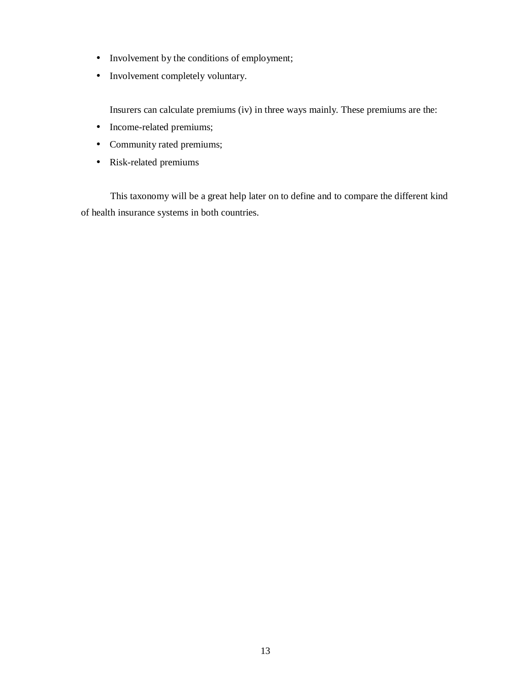- Involvement by the conditions of employment;
- Involvement completely voluntary.

Insurers can calculate premiums (iv) in three ways mainly. These premiums are the:

- Income-related premiums;
- Community rated premiums;
- Risk-related premiums

This taxonomy will be a great help later on to define and to compare the different kind of health insurance systems in both countries.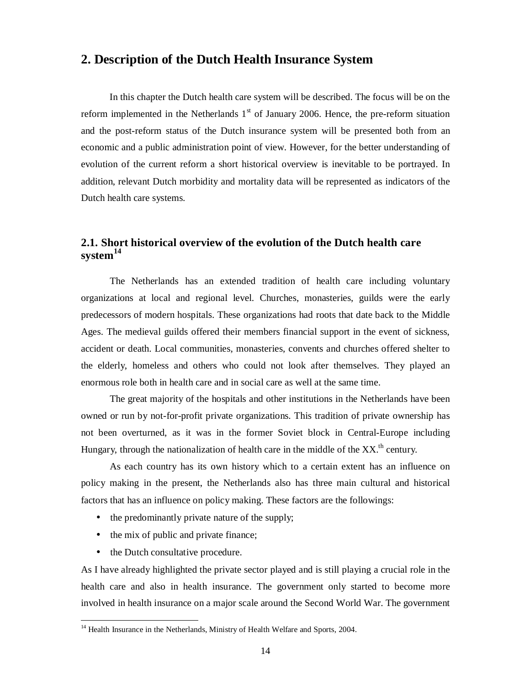## **2. Description of the Dutch Health Insurance System**

In this chapter the Dutch health care system will be described. The focus will be on the reform implemented in the Netherlands  $1<sup>st</sup>$  of January 2006. Hence, the pre-reform situation and the post-reform status of the Dutch insurance system will be presented both from an economic and a public administration point of view. However, for the better understanding of evolution of the current reform a short historical overview is inevitable to be portrayed. In addition, relevant Dutch morbidity and mortality data will be represented as indicators of the Dutch health care systems.

## **2.1. Short historical overview of the evolution of the Dutch health care system<sup>14</sup>**

The Netherlands has an extended tradition of health care including voluntary organizations at local and regional level. Churches, monasteries, guilds were the early predecessors of modern hospitals. These organizations had roots that date back to the Middle Ages. The medieval guilds offered their members financial support in the event of sickness, accident or death. Local communities, monasteries, convents and churches offered shelter to the elderly, homeless and others who could not look after themselves. They played an enormous role both in health care and in social care as well at the same time.

The great majority of the hospitals and other institutions in the Netherlands have been owned or run by not-for-profit private organizations. This tradition of private ownership has not been overturned, as it was in the former Soviet block in Central-Europe including Hungary, through the nationalization of health care in the middle of the  $XX<sup>th</sup>$  century.

As each country has its own history which to a certain extent has an influence on policy making in the present, the Netherlands also has three main cultural and historical factors that has an influence on policy making. These factors are the followings:

- the predominantly private nature of the supply;
- the mix of public and private finance;
- the Dutch consultative procedure.

-

As I have already highlighted the private sector played and is still playing a crucial role in the health care and also in health insurance. The government only started to become more involved in health insurance on a major scale around the Second World War. The government

<sup>&</sup>lt;sup>14</sup> Health Insurance in the Netherlands, Ministry of Health Welfare and Sports, 2004.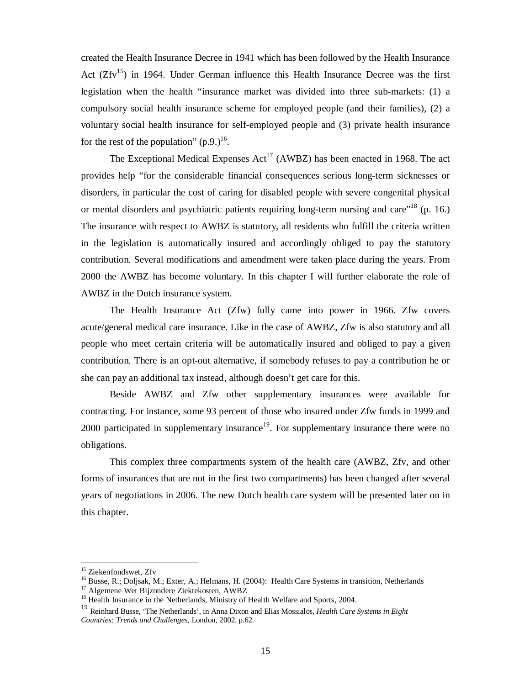created the Health Insurance Decree in 1941 which has been followed by the Health Insurance Act  $(Zfv^{15})$  in 1964. Under German influence this Health Insurance Decree was the first legislation when the health "insurance market was divided into three sub-markets: (1) a compulsory social health insurance scheme for employed people (and their families), (2) a voluntary social health insurance for self-employed people and (3) private health insurance for the rest of the population"  $(p.9.)^{16}$ .

The Exceptional Medical Expenses  $Act^{17}$  (AWBZ) has been enacted in 1968. The act provides help "for the considerable financial consequences serious long-term sicknesses or disorders, in particular the cost of caring for disabled people with severe congenital physical or mental disorders and psychiatric patients requiring long-term nursing and care<sup> $18$ </sup> (p. 16.) The insurance with respect to AWBZ is statutory, all residents who fulfill the criteria written in the legislation is automatically insured and accordingly obliged to pay the statutory contribution. Several modifications and amendment were taken place during the years. From 2000 the AWBZ has become voluntary. In this chapter I will further elaborate the role of AWBZ in the Dutch insurance system.

The Health Insurance Act (Zfw) fully came into power in 1966. Zfw covers acute/general medical care insurance. Like in the case of AWBZ, Zfw is also statutory and all people who meet certain criteria will be automatically insured and obliged to pay a given contribution. There is an opt-out alternative, if somebody refuses to pay a contribution he or she can pay an additional tax instead, although doesn't get care for this.

Beside AWBZ and Zfw other supplementary insurances were available for contracting. For instance, some 93 percent of those who insured under Zfw funds in 1999 and 2000 participated in supplementary insurance<sup>19</sup>. For supplementary insurance there were no obligations.

This complex three compartments system of the health care (AWBZ, Zfv, and other forms of insurances that are not in the first two compartments) has been changed after several years of negotiations in 2006. The new Dutch health care system will be presented later on in this chapter.

<sup>&</sup>lt;sup>15</sup> Ziekenfondswet, Zfv

<sup>&</sup>lt;sup>16</sup> Busse, R.; Doljsak, M.; Exter, A.; Helmans, H. (2004): Health Care Systems in transition, Netherlands <sup>17</sup> Algemene Wet Bijzondere Ziektekosten, AWBZ

<sup>&</sup>lt;sup>18</sup> Health Insurance in the Netherlands, Ministry of Health Welfare and Sports, 2004.

<sup>19</sup> Reinhard Busse, 'The Netherlands', in Anna Dixon and Elias Mossialos, *Health Care Systems in Eight* 

*Countries: Trends and Challenges,* London, 2002. p.62.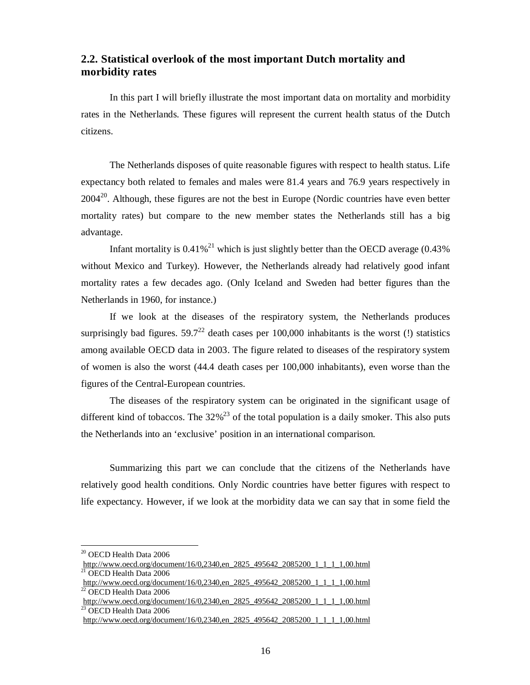## **2.2. Statistical overlook of the most important Dutch mortality and morbidity rates**

In this part I will briefly illustrate the most important data on mortality and morbidity rates in the Netherlands. These figures will represent the current health status of the Dutch citizens.

The Netherlands disposes of quite reasonable figures with respect to health status. Life expectancy both related to females and males were 81.4 years and 76.9 years respectively in  $2004<sup>20</sup>$ . Although, these figures are not the best in Europe (Nordic countries have even better mortality rates) but compare to the new member states the Netherlands still has a big advantage.

Infant mortality is  $0.41\%^{21}$  which is just slightly better than the OECD average (0.43%) without Mexico and Turkey). However, the Netherlands already had relatively good infant mortality rates a few decades ago. (Only Iceland and Sweden had better figures than the Netherlands in 1960, for instance.)

If we look at the diseases of the respiratory system, the Netherlands produces surprisingly bad figures.  $59.7^{22}$  death cases per 100,000 inhabitants is the worst (!) statistics among available OECD data in 2003. The figure related to diseases of the respiratory system of women is also the worst (44.4 death cases per 100,000 inhabitants), even worse than the figures of the Central-European countries.

The diseases of the respiratory system can be originated in the significant usage of different kind of tobaccos. The  $32\%^{23}$  of the total population is a daily smoker. This also puts the Netherlands into an 'exclusive' position in an international comparison.

Summarizing this part we can conclude that the citizens of the Netherlands have relatively good health conditions. Only Nordic countries have better figures with respect to life expectancy. However, if we look at the morbidity data we can say that in some field the

 $\rm ^{20}$  OECD Health Data 2006

[http://www.oecd.org/document/16/0,2340,en\\_2825\\_495642\\_2085200\\_1\\_1\\_1\\_1,00.html](http://www.oecd.org/document/16/0,2340,en_2825_495642_2085200_1_1_1_1,00.html) OECD Health Data 2006

[http://www.oecd.org/document/16/0,2340,en\\_2825\\_495642\\_2085200\\_1\\_1\\_1\\_1,00.html](http://www.oecd.org/document/16/0,2340,en_2825_495642_2085200_1_1_1_1,00.html) <sup>22</sup> OECD Health Data 2006

[http://www.oecd.org/document/16/0,2340,en\\_2825\\_495642\\_2085200\\_1\\_1\\_1\\_1,00.html](http://www.oecd.org/document/16/0,2340,en_2825_495642_2085200_1_1_1_1,00.html) <sup>23</sup> OECD Health Data 2006

[http://www.oecd.org/document/16/0,2340,en\\_2825\\_495642\\_2085200\\_1\\_1\\_1\\_1,00.html](http://www.oecd.org/document/16/0,2340,en_2825_495642_2085200_1_1_1_1,00.html)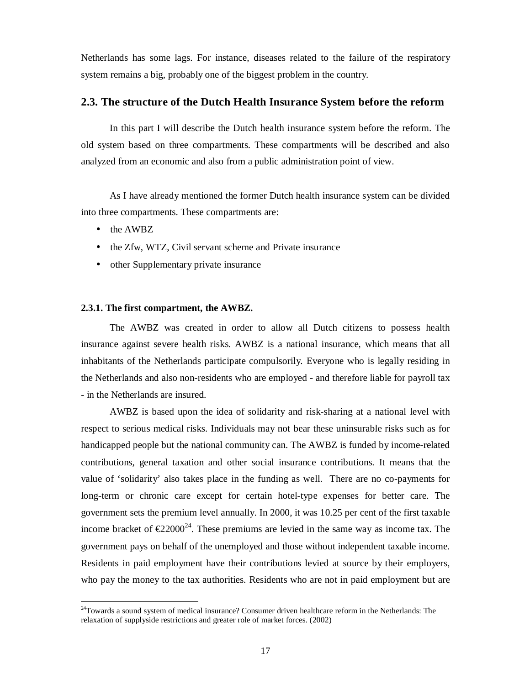Netherlands has some lags. For instance, diseases related to the failure of the respiratory system remains a big, probably one of the biggest problem in the country.

### **2.3. The structure of the Dutch Health Insurance System before the reform**

In this part I will describe the Dutch health insurance system before the reform. The old system based on three compartments. These compartments will be described and also analyzed from an economic and also from a public administration point of view.

As I have already mentioned the former Dutch health insurance system can be divided into three compartments. These compartments are:

• the AWBZ

-

- the Zfw, WTZ, Civil servant scheme and Private insurance
- other Supplementary private insurance

#### **2.3.1. The first compartment, the AWBZ.**

The AWBZ was created in order to allow all Dutch citizens to possess health insurance against severe health risks. AWBZ is a national insurance, which means that all inhabitants of the Netherlands participate compulsorily. Everyone who is legally residing in the Netherlands and also non-residents who are employed - and therefore liable for payroll tax - in the Netherlands are insured.

AWBZ is based upon the idea of solidarity and risk-sharing at a national level with respect to serious medical risks. Individuals may not bear these uninsurable risks such as for handicapped people but the national community can. The AWBZ is funded by income-related contributions, general taxation and other social insurance contributions. It means that the value of 'solidarity' also takes place in the funding as well. There are no co-payments for long-term or chronic care except for certain hotel-type expenses for better care. The government sets the premium level annually. In 2000, it was 10.25 per cent of the first taxable income bracket of  $\epsilon 22000^{24}$ . These premiums are levied in the same way as income tax. The government pays on behalf of the unemployed and those without independent taxable income. Residents in paid employment have their contributions levied at source by their employers, who pay the money to the tax authorities. Residents who are not in paid employment but are

<sup>&</sup>lt;sup>24</sup>Towards a sound system of medical insurance? Consumer driven healthcare reform in the Netherlands: The relaxation of supplyside restrictions and greater role of market forces. (2002)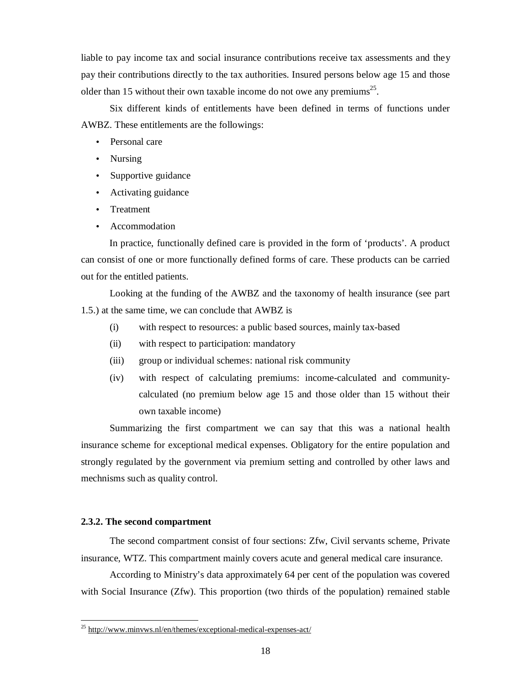liable to pay income tax and social insurance contributions receive tax assessments and they pay their contributions directly to the tax authorities. Insured persons below age 15 and those older than 15 without their own taxable income do not owe any premiums<sup>25</sup>.

Six different kinds of entitlements have been defined in terms of functions under AWBZ. These entitlements are the followings:

- Personal care
- Nursing
- Supportive guidance
- Activating guidance
- Treatment
- Accommodation

In practice, functionally defined care is provided in the form of 'products'. A product can consist of one or more functionally defined forms of care. These products can be carried out for the entitled patients.

Looking at the funding of the AWBZ and the taxonomy of health insurance (see part 1.5.) at the same time, we can conclude that AWBZ is

- (i) with respect to resources: a public based sources, mainly tax-based
- (ii) with respect to participation: mandatory
- (iii) group or individual schemes: national risk community
- (iv) with respect of calculating premiums: income-calculated and communitycalculated (no premium below age 15 and those older than 15 without their own taxable income)

Summarizing the first compartment we can say that this was a national health insurance scheme for exceptional medical expenses. Obligatory for the entire population and strongly regulated by the government via premium setting and controlled by other laws and mechnisms such as quality control.

#### **2.3.2. The second compartment**

-

The second compartment consist of four sections: Zfw, Civil servants scheme, Private insurance, WTZ. This compartment mainly covers acute and general medical care insurance.

According to Ministry's data approximately 64 per cent of the population was covered with Social Insurance (Zfw). This proportion (two thirds of the population) remained stable

<sup>&</sup>lt;sup>25</sup> http://www.minyws.nl/en/themes/exceptional-medical-expenses-act/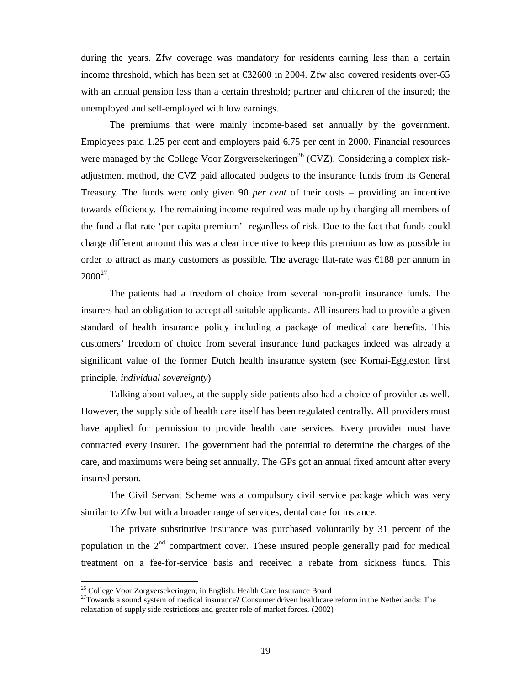during the years. Zfw coverage was mandatory for residents earning less than a certain income threshold, which has been set at €32600 in 2004. Zfw also covered residents over-65 with an annual pension less than a certain threshold; partner and children of the insured; the unemployed and self-employed with low earnings.

The premiums that were mainly income-based set annually by the government. Employees paid 1.25 per cent and employers paid 6.75 per cent in 2000. Financial resources were managed by the College Voor Zorgversekeringen<sup>26</sup> (CVZ). Considering a complex riskadjustment method, the CVZ paid allocated budgets to the insurance funds from its General Treasury. The funds were only given 90 *per cent* of their costs – providing an incentive towards efficiency. The remaining income required was made up by charging all members of the fund a flat-rate 'per-capita premium'- regardless of risk. Due to the fact that funds could charge different amount this was a clear incentive to keep this premium as low as possible in order to attract as many customers as possible. The average flat-rate was  $\in$ 188 per annum in  $2000^{27}$ .

The patients had a freedom of choice from several non-profit insurance funds. The insurers had an obligation to accept all suitable applicants. All insurers had to provide a given standard of health insurance policy including a package of medical care benefits. This customers' freedom of choice from several insurance fund packages indeed was already a significant value of the former Dutch health insurance system (see Kornai-Eggleston first principle, *individual sovereignty*)

Talking about values, at the supply side patients also had a choice of provider as well. However, the supply side of health care itself has been regulated centrally. All providers must have applied for permission to provide health care services. Every provider must have contracted every insurer. The government had the potential to determine the charges of the care, and maximums were being set annually. The GPs got an annual fixed amount after every insured person.

The Civil Servant Scheme was a compulsory civil service package which was very similar to Zfw but with a broader range of services, dental care for instance.

The private substitutive insurance was purchased voluntarily by 31 percent of the population in the  $2<sup>nd</sup>$  compartment cover. These insured people generally paid for medical treatment on a fee-for-service basis and received a rebate from sickness funds. This

<sup>&</sup>lt;sup>26</sup> College Voor Zorgversekeringen, in English: Health Care Insurance Board

<sup>&</sup>lt;sup>27</sup>Towards a sound system of medical insurance? Consumer driven healthcare reform in the Netherlands: The relaxation of supply side restrictions and greater role of market forces. (2002)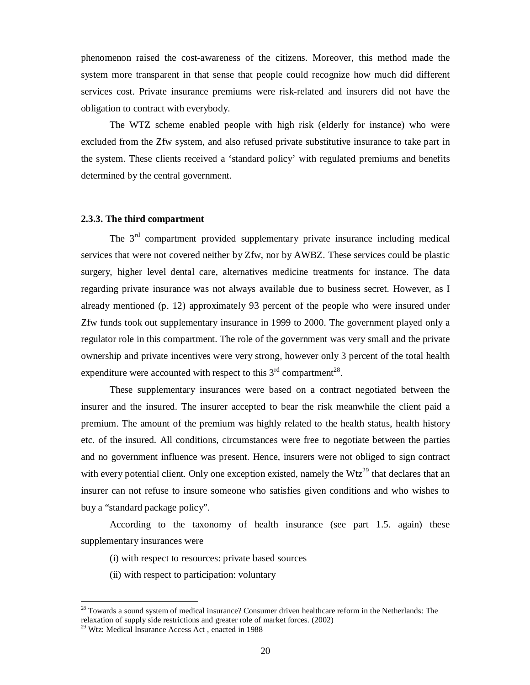phenomenon raised the cost-awareness of the citizens. Moreover, this method made the system more transparent in that sense that people could recognize how much did different services cost. Private insurance premiums were risk-related and insurers did not have the obligation to contract with everybody.

The WTZ scheme enabled people with high risk (elderly for instance) who were excluded from the Zfw system, and also refused private substitutive insurance to take part in the system. These clients received a 'standard policy' with regulated premiums and benefits determined by the central government.

#### **2.3.3. The third compartment**

The  $3<sup>rd</sup>$  compartment provided supplementary private insurance including medical services that were not covered neither by Zfw, nor by AWBZ. These services could be plastic surgery, higher level dental care, alternatives medicine treatments for instance. The data regarding private insurance was not always available due to business secret. However, as I already mentioned (p. 12) approximately 93 percent of the people who were insured under Zfw funds took out supplementary insurance in 1999 to 2000. The government played only a regulator role in this compartment. The role of the government was very small and the private ownership and private incentives were very strong, however only 3 percent of the total health expenditure were accounted with respect to this  $3<sup>rd</sup>$  compartment<sup>28</sup>.

These supplementary insurances were based on a contract negotiated between the insurer and the insured. The insurer accepted to bear the risk meanwhile the client paid a premium. The amount of the premium was highly related to the health status, health history etc. of the insured. All conditions, circumstances were free to negotiate between the parties and no government influence was present. Hence, insurers were not obliged to sign contract with every potential client. Only one exception existed, namely the  $Wtz^{29}$  that declares that an insurer can not refuse to insure someone who satisfies given conditions and who wishes to buy a "standard package policy".

According to the taxonomy of health insurance (see part 1.5. again) these supplementary insurances were

- (i) with respect to resources: private based sources
- (ii) with respect to participation: voluntary

<sup>&</sup>lt;sup>28</sup> Towards a sound system of medical insurance? Consumer driven healthcare reform in the Netherlands: The relaxation of supply side restrictions and greater role of market forces. (2002)

<sup>&</sup>lt;sup>29</sup> Wtz: Medical Insurance Access Act, enacted in 1988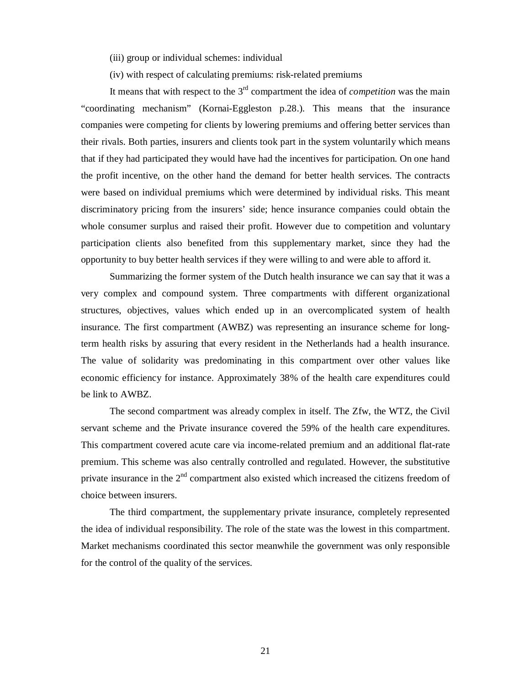(iii) group or individual schemes: individual

(iv) with respect of calculating premiums: risk-related premiums

It means that with respect to the  $3<sup>rd</sup>$  compartment the idea of *competition* was the main "coordinating mechanism" (Kornai-Eggleston p.28.). This means that the insurance companies were competing for clients by lowering premiums and offering better services than their rivals. Both parties, insurers and clients took part in the system voluntarily which means that if they had participated they would have had the incentives for participation. On one hand the profit incentive, on the other hand the demand for better health services. The contracts were based on individual premiums which were determined by individual risks. This meant discriminatory pricing from the insurers' side; hence insurance companies could obtain the whole consumer surplus and raised their profit. However due to competition and voluntary participation clients also benefited from this supplementary market, since they had the opportunity to buy better health services if they were willing to and were able to afford it.

Summarizing the former system of the Dutch health insurance we can say that it was a very complex and compound system. Three compartments with different organizational structures, objectives, values which ended up in an overcomplicated system of health insurance. The first compartment (AWBZ) was representing an insurance scheme for longterm health risks by assuring that every resident in the Netherlands had a health insurance. The value of solidarity was predominating in this compartment over other values like economic efficiency for instance. Approximately 38% of the health care expenditures could be link to AWBZ.

The second compartment was already complex in itself. The Zfw, the WTZ, the Civil servant scheme and the Private insurance covered the 59% of the health care expenditures. This compartment covered acute care via income-related premium and an additional flat-rate premium. This scheme was also centrally controlled and regulated. However, the substitutive private insurance in the  $2<sup>nd</sup>$  compartment also existed which increased the citizens freedom of choice between insurers.

The third compartment, the supplementary private insurance, completely represented the idea of individual responsibility. The role of the state was the lowest in this compartment. Market mechanisms coordinated this sector meanwhile the government was only responsible for the control of the quality of the services.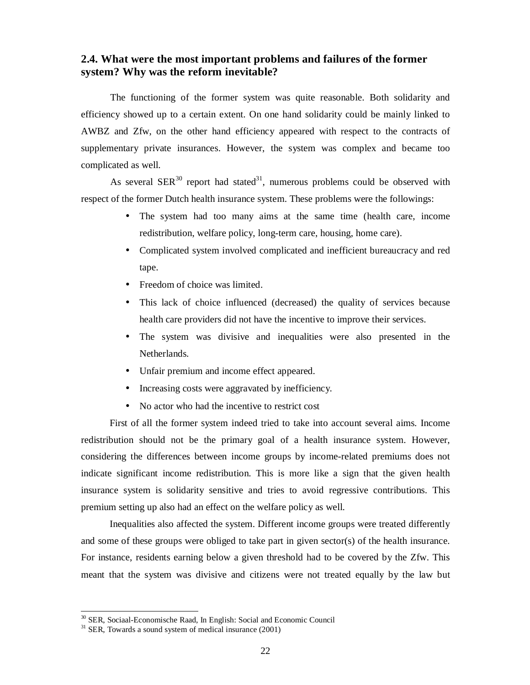### **2.4. What were the most important problems and failures of the former system? Why was the reform inevitable?**

The functioning of the former system was quite reasonable. Both solidarity and efficiency showed up to a certain extent. On one hand solidarity could be mainly linked to AWBZ and Zfw, on the other hand efficiency appeared with respect to the contracts of supplementary private insurances. However, the system was complex and became too complicated as well.

As several  $SER<sup>30</sup>$  report had stated<sup>31</sup>, numerous problems could be observed with respect of the former Dutch health insurance system. These problems were the followings:

- The system had too many aims at the same time (health care, income redistribution, welfare policy, long-term care, housing, home care).
- Complicated system involved complicated and inefficient bureaucracy and red tape.
- Freedom of choice was limited.
- This lack of choice influenced (decreased) the quality of services because health care providers did not have the incentive to improve their services.
- The system was divisive and inequalities were also presented in the Netherlands.
- Unfair premium and income effect appeared.
- Increasing costs were aggravated by inefficiency.
- No actor who had the incentive to restrict cost

First of all the former system indeed tried to take into account several aims. Income redistribution should not be the primary goal of a health insurance system. However, considering the differences between income groups by income-related premiums does not indicate significant income redistribution. This is more like a sign that the given health insurance system is solidarity sensitive and tries to avoid regressive contributions. This premium setting up also had an effect on the welfare policy as well.

Inequalities also affected the system. Different income groups were treated differently and some of these groups were obliged to take part in given sector(s) of the health insurance. For instance, residents earning below a given threshold had to be covered by the Zfw. This meant that the system was divisive and citizens were not treated equally by the law but

<sup>&</sup>lt;sup>30</sup> SER, Sociaal-Economische Raad, In English: Social and Economic Council

 $31$  SER, Towards a sound system of medical insurance (2001)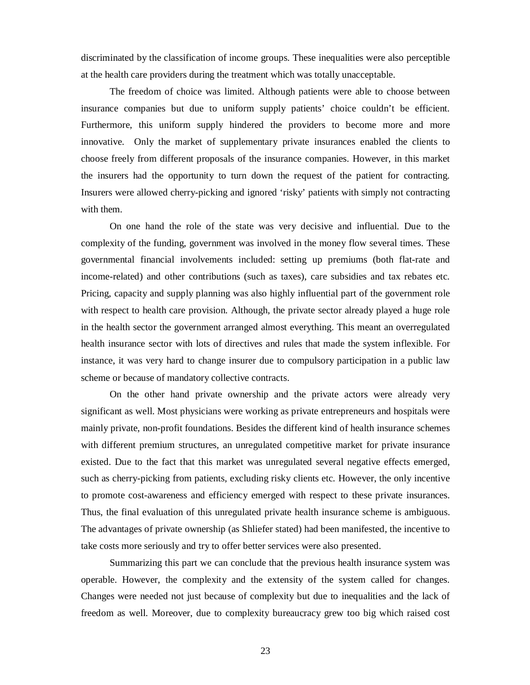discriminated by the classification of income groups. These inequalities were also perceptible at the health care providers during the treatment which was totally unacceptable.

The freedom of choice was limited. Although patients were able to choose between insurance companies but due to uniform supply patients' choice couldn't be efficient. Furthermore, this uniform supply hindered the providers to become more and more innovative. Only the market of supplementary private insurances enabled the clients to choose freely from different proposals of the insurance companies. However, in this market the insurers had the opportunity to turn down the request of the patient for contracting. Insurers were allowed cherry-picking and ignored 'risky' patients with simply not contracting with them.

On one hand the role of the state was very decisive and influential. Due to the complexity of the funding, government was involved in the money flow several times. These governmental financial involvements included: setting up premiums (both flat-rate and income-related) and other contributions (such as taxes), care subsidies and tax rebates etc. Pricing, capacity and supply planning was also highly influential part of the government role with respect to health care provision. Although, the private sector already played a huge role in the health sector the government arranged almost everything. This meant an overregulated health insurance sector with lots of directives and rules that made the system inflexible. For instance, it was very hard to change insurer due to compulsory participation in a public law scheme or because of mandatory collective contracts.

On the other hand private ownership and the private actors were already very significant as well. Most physicians were working as private entrepreneurs and hospitals were mainly private, non-profit foundations. Besides the different kind of health insurance schemes with different premium structures, an unregulated competitive market for private insurance existed. Due to the fact that this market was unregulated several negative effects emerged, such as cherry-picking from patients, excluding risky clients etc. However, the only incentive to promote cost-awareness and efficiency emerged with respect to these private insurances. Thus, the final evaluation of this unregulated private health insurance scheme is ambiguous. The advantages of private ownership (as Shliefer stated) had been manifested, the incentive to take costs more seriously and try to offer better services were also presented.

Summarizing this part we can conclude that the previous health insurance system was operable. However, the complexity and the extensity of the system called for changes. Changes were needed not just because of complexity but due to inequalities and the lack of freedom as well. Moreover, due to complexity bureaucracy grew too big which raised cost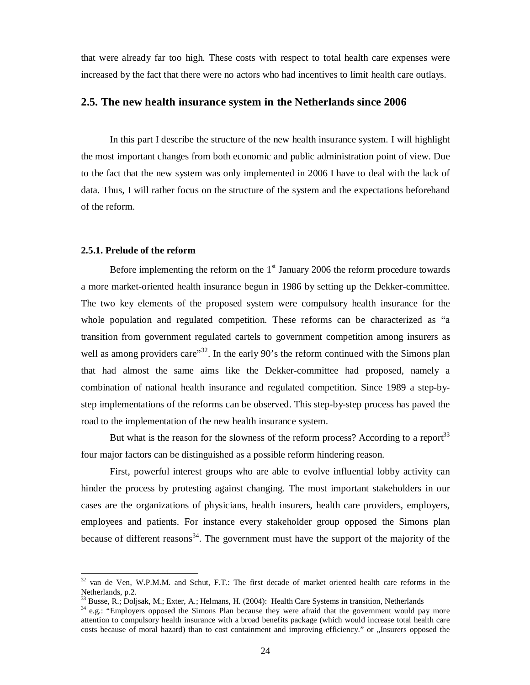that were already far too high. These costs with respect to total health care expenses were increased by the fact that there were no actors who had incentives to limit health care outlays.

### **2.5. The new health insurance system in the Netherlands since 2006**

In this part I describe the structure of the new health insurance system. I will highlight the most important changes from both economic and public administration point of view. Due to the fact that the new system was only implemented in 2006 I have to deal with the lack of data. Thus, I will rather focus on the structure of the system and the expectations beforehand of the reform.

#### **2.5.1. Prelude of the reform**

Before implementing the reform on the  $1<sup>st</sup>$  January 2006 the reform procedure towards a more market-oriented health insurance begun in 1986 by setting up the Dekker-committee. The two key elements of the proposed system were compulsory health insurance for the whole population and regulated competition. These reforms can be characterized as "a transition from government regulated cartels to government competition among insurers as well as among providers care"<sup>32</sup>. In the early 90's the reform continued with the Simons plan that had almost the same aims like the Dekker-committee had proposed, namely a combination of national health insurance and regulated competition. Since 1989 a step-bystep implementations of the reforms can be observed. This step-by-step process has paved the road to the implementation of the new health insurance system.

But what is the reason for the slowness of the reform process? According to a report $33$ four major factors can be distinguished as a possible reform hindering reason.

First, powerful interest groups who are able to evolve influential lobby activity can hinder the process by protesting against changing. The most important stakeholders in our cases are the organizations of physicians, health insurers, health care providers, employers, employees and patients. For instance every stakeholder group opposed the Simons plan because of different reasons<sup>34</sup>. The government must have the support of the majority of the

<sup>&</sup>lt;sup>32</sup> van de Ven, W.P.M.M. and Schut, F.T.: The first decade of market oriented health care reforms in the  $\frac{1}{2}$  wen,<br>Netherlands, p.2.

<sup>33</sup> Busse, R.; Doljsak, M.; Exter, A.; Helmans, H. (2004): Health Care Systems in transition, Netherlands

<sup>&</sup>lt;sup>34</sup> e.g.: "Employers opposed the Simons Plan because they were afraid that the government would pay more attention to compulsory health insurance with a broad benefits package (which would increase total health care costs because of moral hazard) than to cost containment and improving efficiency." or "Insurers opposed the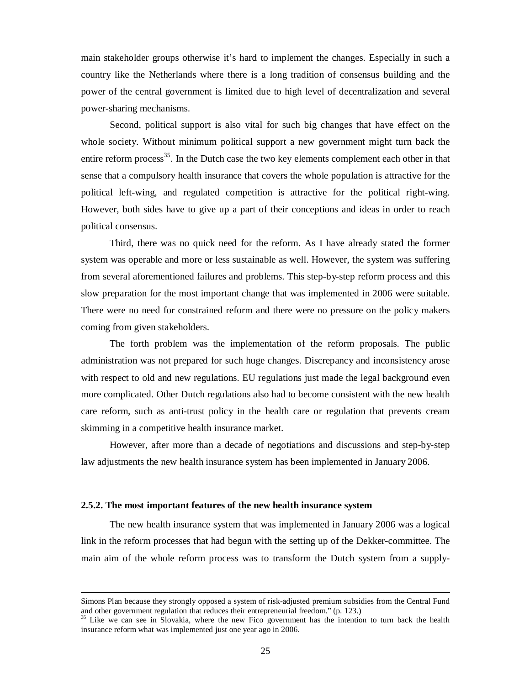main stakeholder groups otherwise it's hard to implement the changes. Especially in such a country like the Netherlands where there is a long tradition of consensus building and the power of the central government is limited due to high level of decentralization and several power-sharing mechanisms.

Second, political support is also vital for such big changes that have effect on the whole society. Without minimum political support a new government might turn back the entire reform process<sup>35</sup>. In the Dutch case the two key elements complement each other in that sense that a compulsory health insurance that covers the whole population is attractive for the political left-wing, and regulated competition is attractive for the political right-wing. However, both sides have to give up a part of their conceptions and ideas in order to reach political consensus.

Third, there was no quick need for the reform. As I have already stated the former system was operable and more or less sustainable as well. However, the system was suffering from several aforementioned failures and problems. This step-by-step reform process and this slow preparation for the most important change that was implemented in 2006 were suitable. There were no need for constrained reform and there were no pressure on the policy makers coming from given stakeholders.

The forth problem was the implementation of the reform proposals. The public administration was not prepared for such huge changes. Discrepancy and inconsistency arose with respect to old and new regulations. EU regulations just made the legal background even more complicated. Other Dutch regulations also had to become consistent with the new health care reform, such as anti-trust policy in the health care or regulation that prevents cream skimming in a competitive health insurance market.

However, after more than a decade of negotiations and discussions and step-by-step law adjustments the new health insurance system has been implemented in January 2006.

#### **2.5.2. The most important features of the new health insurance system**

 $\overline{a}$ 

The new health insurance system that was implemented in January 2006 was a logical link in the reform processes that had begun with the setting up of the Dekker-committee. The main aim of the whole reform process was to transform the Dutch system from a supply-

Simons Plan because they strongly opposed a system of risk-adjusted premium subsidies from the Central Fund and other government regulation that reduces their entrepreneurial freedom." (p. 123.)

<sup>&</sup>lt;sup>35</sup> Like we can see in Slovakia, where the new Fico government has the intention to turn back the health insurance reform what was implemented just one year ago in 2006.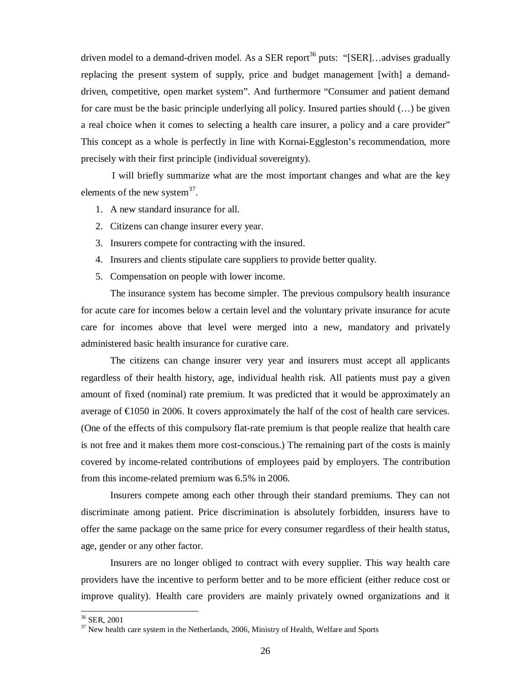driven model to a demand-driven model. As a SER report<sup>36</sup> puts: "[SER]...advises gradually replacing the present system of supply, price and budget management [with] a demanddriven, competitive, open market system". And furthermore "Consumer and patient demand for care must be the basic principle underlying all policy. Insured parties should (…) be given a real choice when it comes to selecting a health care insurer, a policy and a care provider" This concept as a whole is perfectly in line with Kornai-Eggleston's recommendation, more precisely with their first principle (individual sovereignty).

I will briefly summarize what are the most important changes and what are the key elements of the new system $^{37}$ .

- 1. A new standard insurance for all.
- 2. Citizens can change insurer every year.
- 3. Insurers compete for contracting with the insured.
- 4. Insurers and clients stipulate care suppliers to provide better quality.
- 5. Compensation on people with lower income.

The insurance system has become simpler. The previous compulsory health insurance for acute care for incomes below a certain level and the voluntary private insurance for acute care for incomes above that level were merged into a new, mandatory and privately administered basic health insurance for curative care.

The citizens can change insurer very year and insurers must accept all applicants regardless of their health history, age, individual health risk. All patients must pay a given amount of fixed (nominal) rate premium. It was predicted that it would be approximately an average of €1050 in 2006. It covers approximately the half of the cost of health care services. (One of the effects of this compulsory flat-rate premium is that people realize that health care is not free and it makes them more cost-conscious.) The remaining part of the costs is mainly covered by income-related contributions of employees paid by employers. The contribution from this income-related premium was 6.5% in 2006.

Insurers compete among each other through their standard premiums. They can not discriminate among patient. Price discrimination is absolutely forbidden, insurers have to offer the same package on the same price for every consumer regardless of their health status, age, gender or any other factor.

Insurers are no longer obliged to contract with every supplier. This way health care providers have the incentive to perform better and to be more efficient (either reduce cost or improve quality). Health care providers are mainly privately owned organizations and it

 $36$  SER, 2001

 $37$  New health care system in the Netherlands, 2006, Ministry of Health, Welfare and Sports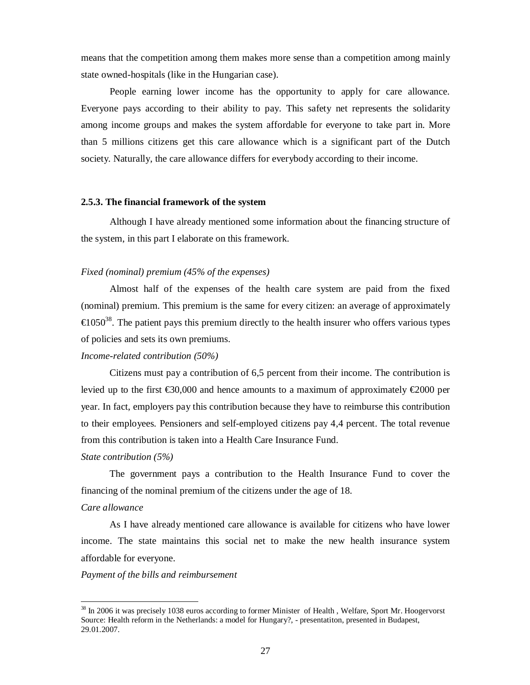means that the competition among them makes more sense than a competition among mainly state owned-hospitals (like in the Hungarian case).

People earning lower income has the opportunity to apply for care allowance. Everyone pays according to their ability to pay. This safety net represents the solidarity among income groups and makes the system affordable for everyone to take part in. More than 5 millions citizens get this care allowance which is a significant part of the Dutch society. Naturally, the care allowance differs for everybody according to their income.

#### **2.5.3. The financial framework of the system**

Although I have already mentioned some information about the financing structure of the system, in this part I elaborate on this framework.

#### *Fixed (nominal) premium (45% of the expenses)*

Almost half of the expenses of the health care system are paid from the fixed (nominal) premium. This premium is the same for every citizen: an average of approximately  $\epsilon$ 1050<sup>38</sup>. The patient pays this premium directly to the health insurer who offers various types of policies and sets its own premiums.

#### *Income-related contribution (50%)*

Citizens must pay a contribution of 6,5 percent from their income. The contribution is levied up to the first  $\epsilon$ 30,000 and hence amounts to a maximum of approximately  $\epsilon$ 2000 per year. In fact, employers pay this contribution because they have to reimburse this contribution to their employees. Pensioners and self-employed citizens pay 4,4 percent. The total revenue from this contribution is taken into a Health Care Insurance Fund.

### *State contribution (5%)*

The government pays a contribution to the Health Insurance Fund to cover the financing of the nominal premium of the citizens under the age of 18.

#### *Care allowance*

-

As I have already mentioned care allowance is available for citizens who have lower income. The state maintains this social net to make the new health insurance system affordable for everyone.

*Payment of the bills and reimbursement* 

<sup>&</sup>lt;sup>38</sup> In 2006 it was precisely 1038 euros according to former Minister of Health, Welfare, Sport Mr. Hoogervorst Source: Health reform in the Netherlands: a model for Hungary?, - presentatiton, presented in Budapest, 29.01.2007.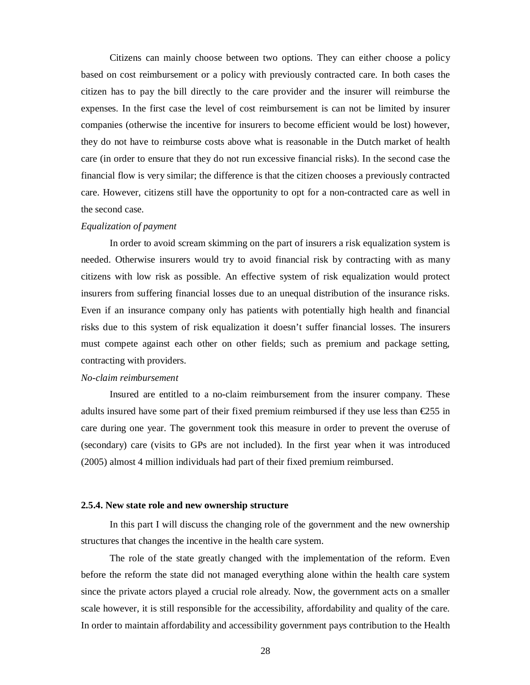Citizens can mainly choose between two options. They can either choose a policy based on cost reimbursement or a policy with previously contracted care. In both cases the citizen has to pay the bill directly to the care provider and the insurer will reimburse the expenses. In the first case the level of cost reimbursement is can not be limited by insurer companies (otherwise the incentive for insurers to become efficient would be lost) however, they do not have to reimburse costs above what is reasonable in the Dutch market of health care (in order to ensure that they do not run excessive financial risks). In the second case the financial flow is very similar; the difference is that the citizen chooses a previously contracted care. However, citizens still have the opportunity to opt for a non-contracted care as well in the second case.

#### *Equalization of payment*

In order to avoid scream skimming on the part of insurers a risk equalization system is needed. Otherwise insurers would try to avoid financial risk by contracting with as many citizens with low risk as possible. An effective system of risk equalization would protect insurers from suffering financial losses due to an unequal distribution of the insurance risks. Even if an insurance company only has patients with potentially high health and financial risks due to this system of risk equalization it doesn't suffer financial losses. The insurers must compete against each other on other fields; such as premium and package setting, contracting with providers.

#### *No-claim reimbursement*

Insured are entitled to a no-claim reimbursement from the insurer company. These adults insured have some part of their fixed premium reimbursed if they use less than  $\epsilon$ 255 in care during one year. The government took this measure in order to prevent the overuse of (secondary) care (visits to GPs are not included). In the first year when it was introduced (2005) almost 4 million individuals had part of their fixed premium reimbursed.

#### **2.5.4. New state role and new ownership structure**

In this part I will discuss the changing role of the government and the new ownership structures that changes the incentive in the health care system.

The role of the state greatly changed with the implementation of the reform. Even before the reform the state did not managed everything alone within the health care system since the private actors played a crucial role already. Now, the government acts on a smaller scale however, it is still responsible for the accessibility, affordability and quality of the care. In order to maintain affordability and accessibility government pays contribution to the Health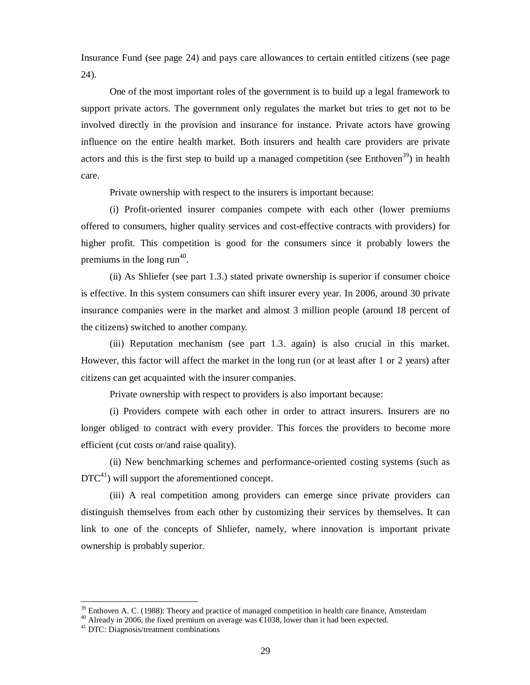Insurance Fund (see page 24) and pays care allowances to certain entitled citizens (see page 24).

One of the most important roles of the government is to build up a legal framework to support private actors. The government only regulates the market but tries to get not to be involved directly in the provision and insurance for instance. Private actors have growing influence on the entire health market. Both insurers and health care providers are private actors and this is the first step to build up a managed competition (see Enthoven<sup>39</sup>) in health care.

Private ownership with respect to the insurers is important because:

(i) Profit-oriented insurer companies compete with each other (lower premiums offered to consumers, higher quality services and cost-effective contracts with providers) for higher profit. This competition is good for the consumers since it probably lowers the premiums in the long run<sup>40</sup>.

(ii) As Shliefer (see part 1.3.) stated private ownership is superior if consumer choice is effective. In this system consumers can shift insurer every year. In 2006, around 30 private insurance companies were in the market and almost 3 million people (around 18 percent of the citizens) switched to another company.

(iii) Reputation mechanism (see part 1.3. again) is also crucial in this market. However, this factor will affect the market in the long run (or at least after 1 or 2 years) after citizens can get acquainted with the insurer companies.

Private ownership with respect to providers is also important because:

(i) Providers compete with each other in order to attract insurers. Insurers are no longer obliged to contract with every provider. This forces the providers to become more efficient (cut costs or/and raise quality).

(ii) New benchmarking schemes and performance-oriented costing systems (such as  $DTC^{41}$ ) will support the aforementioned concept.

(iii) A real competition among providers can emerge since private providers can distinguish themselves from each other by customizing their services by themselves. It can link to one of the concepts of Shliefer, namely, where innovation is important private ownership is probably superior.

<sup>39</sup> Enthoven A. C. (1988): Theory and practice of managed competition in health care finance, Amsterdam

 $40$  Already in 2006, the fixed premium on average was  $\epsilon$ 1038, lower than it had been expected.

<sup>41</sup> DTC: Diagnosis/treatment combinations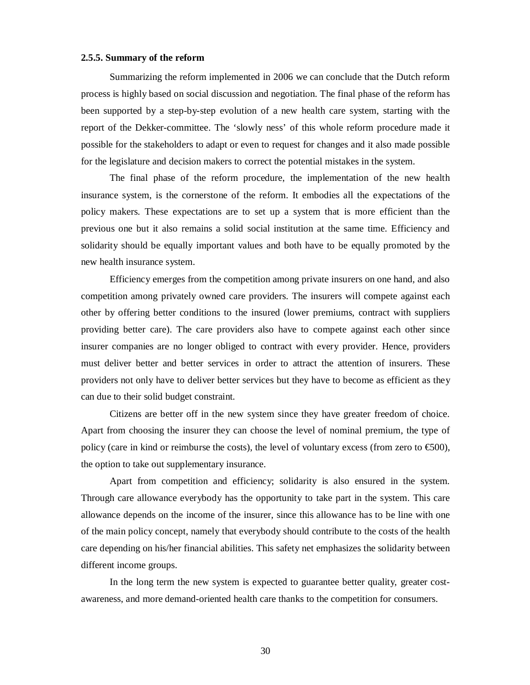#### **2.5.5. Summary of the reform**

Summarizing the reform implemented in 2006 we can conclude that the Dutch reform process is highly based on social discussion and negotiation. The final phase of the reform has been supported by a step-by-step evolution of a new health care system, starting with the report of the Dekker-committee. The 'slowly ness' of this whole reform procedure made it possible for the stakeholders to adapt or even to request for changes and it also made possible for the legislature and decision makers to correct the potential mistakes in the system.

The final phase of the reform procedure, the implementation of the new health insurance system, is the cornerstone of the reform. It embodies all the expectations of the policy makers. These expectations are to set up a system that is more efficient than the previous one but it also remains a solid social institution at the same time. Efficiency and solidarity should be equally important values and both have to be equally promoted by the new health insurance system.

Efficiency emerges from the competition among private insurers on one hand, and also competition among privately owned care providers. The insurers will compete against each other by offering better conditions to the insured (lower premiums, contract with suppliers providing better care). The care providers also have to compete against each other since insurer companies are no longer obliged to contract with every provider. Hence, providers must deliver better and better services in order to attract the attention of insurers. These providers not only have to deliver better services but they have to become as efficient as they can due to their solid budget constraint.

Citizens are better off in the new system since they have greater freedom of choice. Apart from choosing the insurer they can choose the level of nominal premium, the type of policy (care in kind or reimburse the costs), the level of voluntary excess (from zero to  $\epsilon$ 500), the option to take out supplementary insurance.

Apart from competition and efficiency; solidarity is also ensured in the system. Through care allowance everybody has the opportunity to take part in the system. This care allowance depends on the income of the insurer, since this allowance has to be line with one of the main policy concept, namely that everybody should contribute to the costs of the health care depending on his/her financial abilities. This safety net emphasizes the solidarity between different income groups.

In the long term the new system is expected to guarantee better quality, greater costawareness, and more demand-oriented health care thanks to the competition for consumers.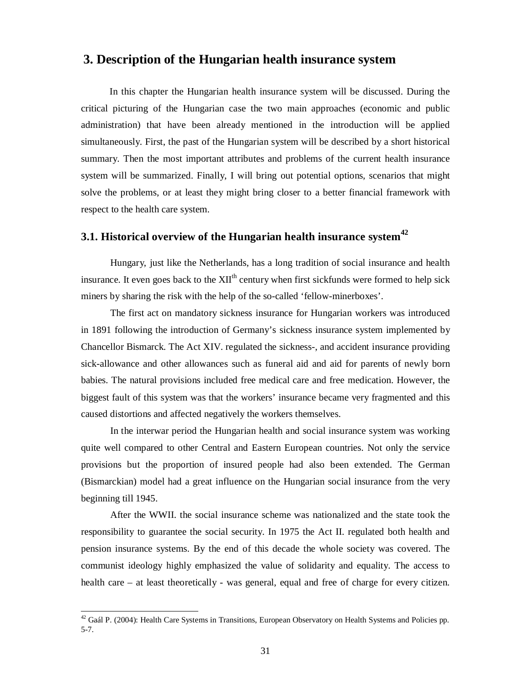## **3. Description of the Hungarian health insurance system**

In this chapter the Hungarian health insurance system will be discussed. During the critical picturing of the Hungarian case the two main approaches (economic and public administration) that have been already mentioned in the introduction will be applied simultaneously. First, the past of the Hungarian system will be described by a short historical summary. Then the most important attributes and problems of the current health insurance system will be summarized. Finally, I will bring out potential options, scenarios that might solve the problems, or at least they might bring closer to a better financial framework with respect to the health care system.

## **3.1. Historical overview of the Hungarian health insurance system<sup>42</sup>**

Hungary, just like the Netherlands, has a long tradition of social insurance and health insurance. It even goes back to the  $XII<sup>th</sup>$  century when first sickfunds were formed to help sick miners by sharing the risk with the help of the so-called 'fellow-minerboxes'.

The first act on mandatory sickness insurance for Hungarian workers was introduced in 1891 following the introduction of Germany's sickness insurance system implemented by Chancellor Bismarck. The Act XIV. regulated the sickness-, and accident insurance providing sick-allowance and other allowances such as funeral aid and aid for parents of newly born babies. The natural provisions included free medical care and free medication. However, the biggest fault of this system was that the workers' insurance became very fragmented and this caused distortions and affected negatively the workers themselves.

In the interwar period the Hungarian health and social insurance system was working quite well compared to other Central and Eastern European countries. Not only the service provisions but the proportion of insured people had also been extended. The German (Bismarckian) model had a great influence on the Hungarian social insurance from the very beginning till 1945.

After the WWII. the social insurance scheme was nationalized and the state took the responsibility to guarantee the social security. In 1975 the Act II. regulated both health and pension insurance systems. By the end of this decade the whole society was covered. The communist ideology highly emphasized the value of solidarity and equality. The access to health care – at least theoretically - was general, equal and free of charge for every citizen.

 $42$  Gaál P. (2004): Health Care Systems in Transitions, European Observatory on Health Systems and Policies pp. 5-7.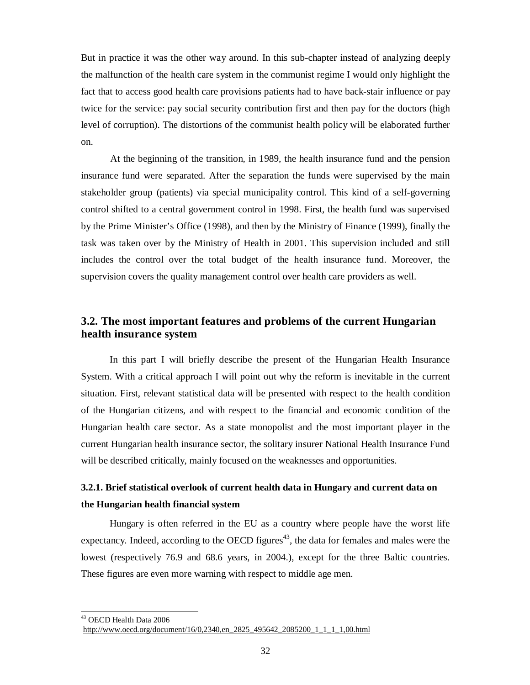But in practice it was the other way around. In this sub-chapter instead of analyzing deeply the malfunction of the health care system in the communist regime I would only highlight the fact that to access good health care provisions patients had to have back-stair influence or pay twice for the service: pay social security contribution first and then pay for the doctors (high level of corruption). The distortions of the communist health policy will be elaborated further on.

At the beginning of the transition, in 1989, the health insurance fund and the pension insurance fund were separated. After the separation the funds were supervised by the main stakeholder group (patients) via special municipality control. This kind of a self-governing control shifted to a central government control in 1998. First, the health fund was supervised by the Prime Minister's Office (1998), and then by the Ministry of Finance (1999), finally the task was taken over by the Ministry of Health in 2001. This supervision included and still includes the control over the total budget of the health insurance fund. Moreover, the supervision covers the quality management control over health care providers as well.

## **3.2. The most important features and problems of the current Hungarian health insurance system**

In this part I will briefly describe the present of the Hungarian Health Insurance System. With a critical approach I will point out why the reform is inevitable in the current situation. First, relevant statistical data will be presented with respect to the health condition of the Hungarian citizens, and with respect to the financial and economic condition of the Hungarian health care sector. As a state monopolist and the most important player in the current Hungarian health insurance sector, the solitary insurer National Health Insurance Fund will be described critically, mainly focused on the weaknesses and opportunities.

## **3.2.1. Brief statistical overlook of current health data in Hungary and current data on the Hungarian health financial system**

Hungary is often referred in the EU as a country where people have the worst life expectancy. Indeed, according to the OECD figures<sup>43</sup>, the data for females and males were the lowest (respectively 76.9 and 68.6 years, in 2004.), except for the three Baltic countries. These figures are even more warning with respect to middle age men.

<sup>&</sup>lt;sup>43</sup> OECD Health Data 2006 [http://www.oecd.org/document/16/0,2340,en\\_2825\\_495642\\_2085200\\_1\\_1\\_1\\_1,00.html](http://www.oecd.org/document/16/0,2340,en_2825_495642_2085200_1_1_1_1,00.html)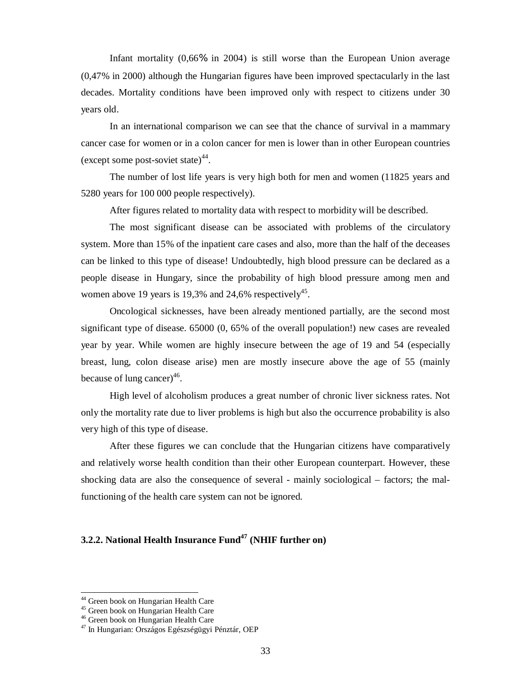Infant mortality (0,66% in 2004) is still worse than the European Union average (0,47% in 2000) although the Hungarian figures have been improved spectacularly in the last decades. Mortality conditions have been improved only with respect to citizens under 30 years old.

In an international comparison we can see that the chance of survival in a mammary cancer case for women or in a colon cancer for men is lower than in other European countries (except some post-soviet state) $44$ .

The number of lost life years is very high both for men and women (11825 years and 5280 years for 100 000 people respectively).

After figures related to mortality data with respect to morbidity will be described.

The most significant disease can be associated with problems of the circulatory system. More than 15% of the inpatient care cases and also, more than the half of the deceases can be linked to this type of disease! Undoubtedly, high blood pressure can be declared as a people disease in Hungary, since the probability of high blood pressure among men and women above 19 years is 19,3% and 24,6% respectively<sup>45</sup>.

Oncological sicknesses, have been already mentioned partially, are the second most significant type of disease. 65000 (0, 65% of the overall population!) new cases are revealed year by year. While women are highly insecure between the age of 19 and 54 (especially breast, lung, colon disease arise) men are mostly insecure above the age of 55 (mainly because of lung cancer $)^{46}$ .

High level of alcoholism produces a great number of chronic liver sickness rates. Not only the mortality rate due to liver problems is high but also the occurrence probability is also very high of this type of disease.

After these figures we can conclude that the Hungarian citizens have comparatively and relatively worse health condition than their other European counterpart. However, these shocking data are also the consequence of several - mainly sociological – factors; the malfunctioning of the health care system can not be ignored.

### **3.2.2. National Health Insurance Fund<sup>47</sup> (NHIF further on)**

<sup>&</sup>lt;sup>44</sup> Green book on Hungarian Health Care

<sup>45</sup> Green book on Hungarian Health Care

<sup>46</sup> Green book on Hungarian Health Care

<sup>47</sup> In Hungarian: Országos Egészségügyi Pénztár, OEP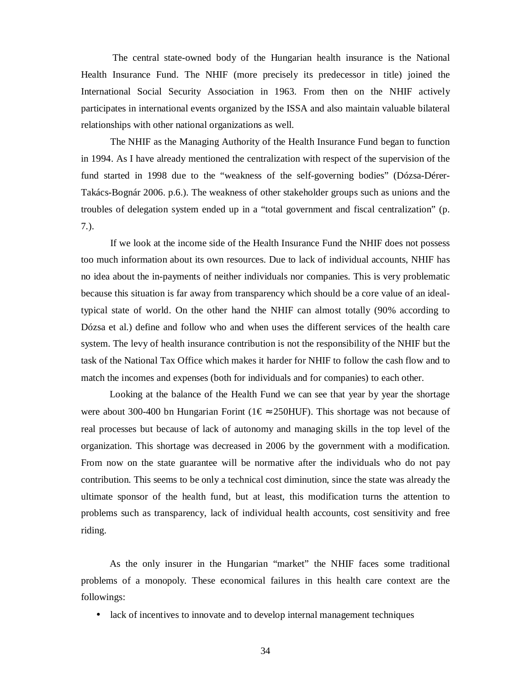The central state-owned body of the Hungarian health insurance is the National Health Insurance Fund. The NHIF (more precisely its predecessor in title) joined the International Social Security Association in 1963. From then on the NHIF actively participates in international events organized by the ISSA and also maintain valuable bilateral relationships with other national organizations as well.

The NHIF as the Managing Authority of the Health Insurance Fund began to function in 1994. As I have already mentioned the centralization with respect of the supervision of the fund started in 1998 due to the "weakness of the self-governing bodies" (Dózsa-Dérer-Takács-Bognár 2006. p.6.). The weakness of other stakeholder groups such as unions and the troubles of delegation system ended up in a "total government and fiscal centralization" (p. 7.).

If we look at the income side of the Health Insurance Fund the NHIF does not possess too much information about its own resources. Due to lack of individual accounts, NHIF has no idea about the in-payments of neither individuals nor companies. This is very problematic because this situation is far away from transparency which should be a core value of an idealtypical state of world. On the other hand the NHIF can almost totally (90% according to Dózsa et al.) define and follow who and when uses the different services of the health care system. The levy of health insurance contribution is not the responsibility of the NHIF but the task of the National Tax Office which makes it harder for NHIF to follow the cash flow and to match the incomes and expenses (both for individuals and for companies) to each other.

Looking at the balance of the Health Fund we can see that year by year the shortage were about 300-400 bn Hungarian Forint (1 $\varepsilon \approx 250$ HUF). This shortage was not because of real processes but because of lack of autonomy and managing skills in the top level of the organization. This shortage was decreased in 2006 by the government with a modification. From now on the state guarantee will be normative after the individuals who do not pay contribution. This seems to be only a technical cost diminution, since the state was already the ultimate sponsor of the health fund, but at least, this modification turns the attention to problems such as transparency, lack of individual health accounts, cost sensitivity and free riding.

As the only insurer in the Hungarian "market" the NHIF faces some traditional problems of a monopoly. These economical failures in this health care context are the followings:

• lack of incentives to innovate and to develop internal management techniques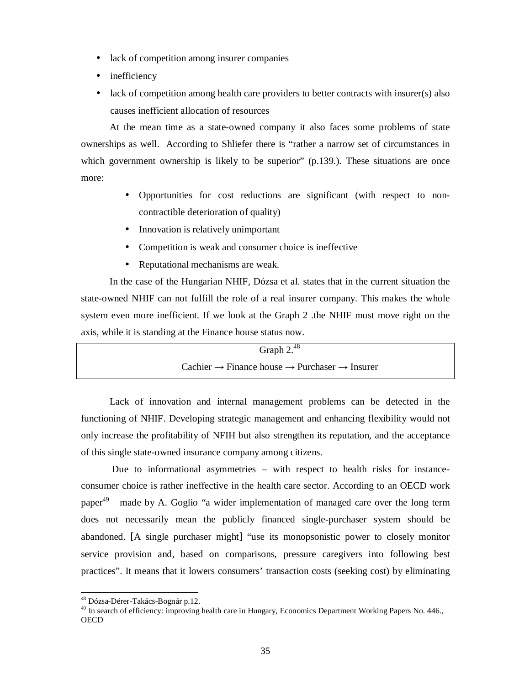- lack of competition among insurer companies
- inefficiency
- lack of competition among health care providers to better contracts with insurer(s) also causes inefficient allocation of resources

At the mean time as a state-owned company it also faces some problems of state ownerships as well. According to Shliefer there is "rather a narrow set of circumstances in which government ownership is likely to be superior" (p.139.). These situations are once more:

- Opportunities for cost reductions are significant (with respect to noncontractible deterioration of quality)
- Innovation is relatively unimportant
- Competition is weak and consumer choice is ineffective
- Reputational mechanisms are weak.

In the case of the Hungarian NHIF, Dózsa et al. states that in the current situation the state-owned NHIF can not fulfill the role of a real insurer company. This makes the whole system even more inefficient. If we look at the Graph 2 .the NHIF must move right on the axis, while it is standing at the Finance house status now.

| Graph $2.^{48}$                                                                   |  |
|-----------------------------------------------------------------------------------|--|
| Cachier $\rightarrow$ Finance house $\rightarrow$ Purchaser $\rightarrow$ Insurer |  |

Lack of innovation and internal management problems can be detected in the functioning of NHIF. Developing strategic management and enhancing flexibility would not only increase the profitability of NFIH but also strengthen its reputation, and the acceptance of this single state-owned insurance company among citizens.

Due to informational asymmetries – with respect to health risks for instanceconsumer choice is rather ineffective in the health care sector. According to an OECD work  $p<sub>ap</sub>$  $q<sub>9</sub>$  made by A. Goglio "a wider implementation of managed care over the long term does not necessarily mean the publicly financed single-purchaser system should be abandoned. [A single purchaser might] "use its monopsonistic power to closely monitor service provision and, based on comparisons, pressure caregivers into following best practices". It means that it lowers consumers' transaction costs (seeking cost) by eliminating

<sup>&</sup>lt;sup>48</sup> Dózsa-Dérer-Takács-Bognár p.12.

<sup>&</sup>lt;sup>49</sup> In search of efficiency: improving health care in Hungary, Economics Department Working Papers No. 446., **OECD**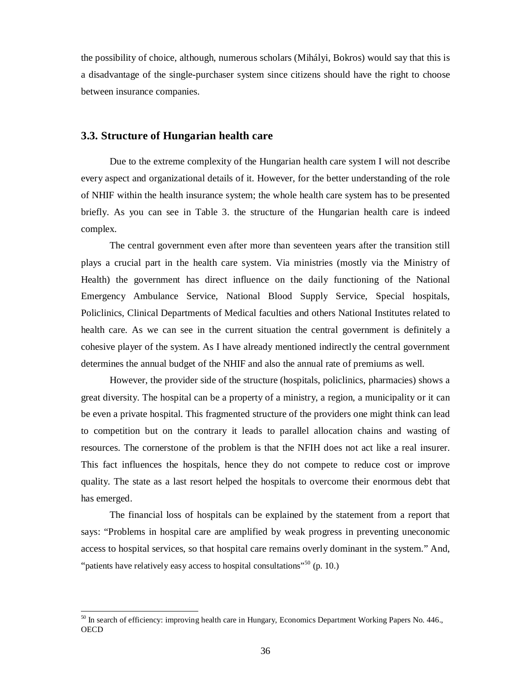the possibility of choice, although, numerous scholars (Mihályi, Bokros) would say that this is a disadvantage of the single-purchaser system since citizens should have the right to choose between insurance companies.

### **3.3. Structure of Hungarian health care**

Due to the extreme complexity of the Hungarian health care system I will not describe every aspect and organizational details of it. However, for the better understanding of the role of NHIF within the health insurance system; the whole health care system has to be presented briefly. As you can see in Table 3. the structure of the Hungarian health care is indeed complex.

The central government even after more than seventeen years after the transition still plays a crucial part in the health care system. Via ministries (mostly via the Ministry of Health) the government has direct influence on the daily functioning of the National Emergency Ambulance Service, National Blood Supply Service, Special hospitals, Policlinics, Clinical Departments of Medical faculties and others National Institutes related to health care. As we can see in the current situation the central government is definitely a cohesive player of the system. As I have already mentioned indirectly the central government determines the annual budget of the NHIF and also the annual rate of premiums as well.

However, the provider side of the structure (hospitals, policlinics, pharmacies) shows a great diversity. The hospital can be a property of a ministry, a region, a municipality or it can be even a private hospital. This fragmented structure of the providers one might think can lead to competition but on the contrary it leads to parallel allocation chains and wasting of resources. The cornerstone of the problem is that the NFIH does not act like a real insurer. This fact influences the hospitals, hence they do not compete to reduce cost or improve quality. The state as a last resort helped the hospitals to overcome their enormous debt that has emerged.

The financial loss of hospitals can be explained by the statement from a report that says: "Problems in hospital care are amplified by weak progress in preventing uneconomic access to hospital services, so that hospital care remains overly dominant in the system." And, "patients have relatively easy access to hospital consultations"<sup>50</sup> (p. 10.)

<sup>&</sup>lt;sup>50</sup> In search of efficiency: improving health care in Hungary, Economics Department Working Papers No. 446., **OECD**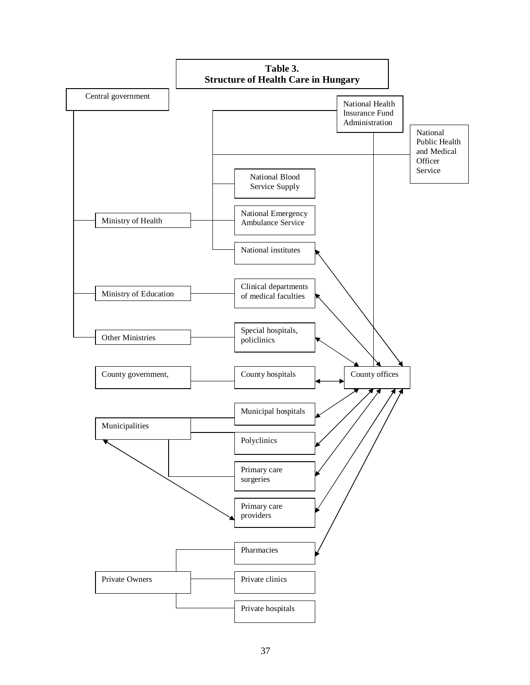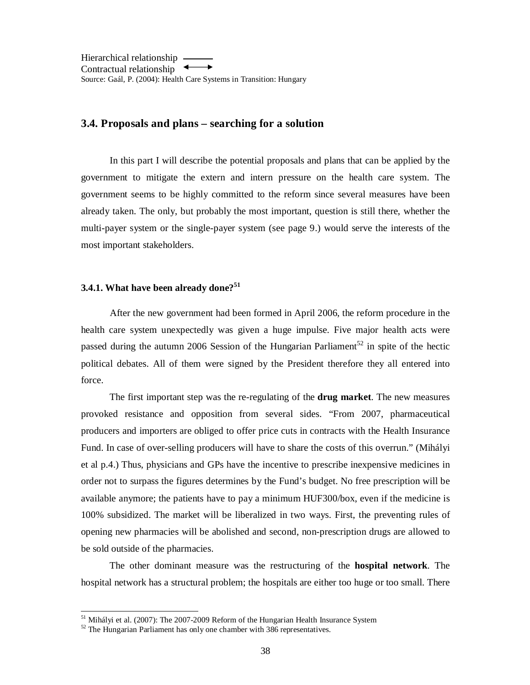Hierarchical relationship Contractual relationship Source: Gaál, P. (2004): Health Care Systems in Transition: Hungary

### **3.4. Proposals and plans – searching for a solution**

In this part I will describe the potential proposals and plans that can be applied by the government to mitigate the extern and intern pressure on the health care system. The government seems to be highly committed to the reform since several measures have been already taken. The only, but probably the most important, question is still there, whether the multi-payer system or the single-payer system (see page 9.) would serve the interests of the most important stakeholders.

### **3.4.1. What have been already done?<sup>51</sup>**

After the new government had been formed in April 2006, the reform procedure in the health care system unexpectedly was given a huge impulse. Five major health acts were passed during the autumn 2006 Session of the Hungarian Parliament<sup>52</sup> in spite of the hectic political debates. All of them were signed by the President therefore they all entered into force.

The first important step was the re-regulating of the **drug market**. The new measures provoked resistance and opposition from several sides. "From 2007, pharmaceutical producers and importers are obliged to offer price cuts in contracts with the Health Insurance Fund. In case of over-selling producers will have to share the costs of this overrun." (Mihályi et al p.4.) Thus, physicians and GPs have the incentive to prescribe inexpensive medicines in order not to surpass the figures determines by the Fund's budget. No free prescription will be available anymore; the patients have to pay a minimum HUF300/box, even if the medicine is 100% subsidized. The market will be liberalized in two ways. First, the preventing rules of opening new pharmacies will be abolished and second, non-prescription drugs are allowed to be sold outside of the pharmacies.

The other dominant measure was the restructuring of the **hospital network**. The hospital network has a structural problem; the hospitals are either too huge or too small. There

<sup>&</sup>lt;sup>51</sup> Mihályi et al. (2007): The 2007-2009 Reform of the Hungarian Health Insurance System

 $52$  The Hungarian Parliament has only one chamber with 386 representatives.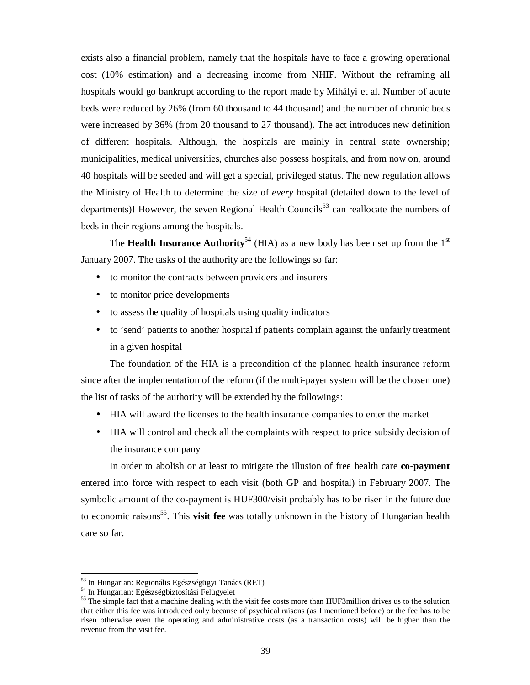exists also a financial problem, namely that the hospitals have to face a growing operational cost (10% estimation) and a decreasing income from NHIF. Without the reframing all hospitals would go bankrupt according to the report made by Mihályi et al. Number of acute beds were reduced by 26% (from 60 thousand to 44 thousand) and the number of chronic beds were increased by 36% (from 20 thousand to 27 thousand). The act introduces new definition of different hospitals. Although, the hospitals are mainly in central state ownership; municipalities, medical universities, churches also possess hospitals, and from now on, around 40 hospitals will be seeded and will get a special, privileged status. The new regulation allows the Ministry of Health to determine the size of *every* hospital (detailed down to the level of departments)! However, the seven Regional Health Councils<sup>53</sup> can reallocate the numbers of beds in their regions among the hospitals.

The **Health Insurance Authority**<sup>54</sup> (HIA) as a new body has been set up from the  $1<sup>st</sup>$ January 2007. The tasks of the authority are the followings so far:

- to monitor the contracts between providers and insurers
- to monitor price developments
- to assess the quality of hospitals using quality indicators
- to 'send' patients to another hospital if patients complain against the unfairly treatment in a given hospital

The foundation of the HIA is a precondition of the planned health insurance reform since after the implementation of the reform (if the multi-payer system will be the chosen one) the list of tasks of the authority will be extended by the followings:

- HIA will award the licenses to the health insurance companies to enter the market
- HIA will control and check all the complaints with respect to price subsidy decision of the insurance company

In order to abolish or at least to mitigate the illusion of free health care **co-payment** entered into force with respect to each visit (both GP and hospital) in February 2007. The symbolic amount of the co-payment is HUF300/visit probably has to be risen in the future due to economic raisons 55 . This **visit fee** was totally unknown in the history of Hungarian health care so far.

<sup>53</sup> In Hungarian: Regionális Egészségügyi Tanács (RET)

<sup>54</sup> In Hungarian: Egészségbiztosítási Felügyelet

<sup>&</sup>lt;sup>55</sup> The simple fact that a machine dealing with the visit fee costs more than HUF3million drives us to the solution that either this fee was introduced only because of psychical raisons (as I mentioned before) or the fee has to be risen otherwise even the operating and administrative costs (as a transaction costs) will be higher than the revenue from the visit fee.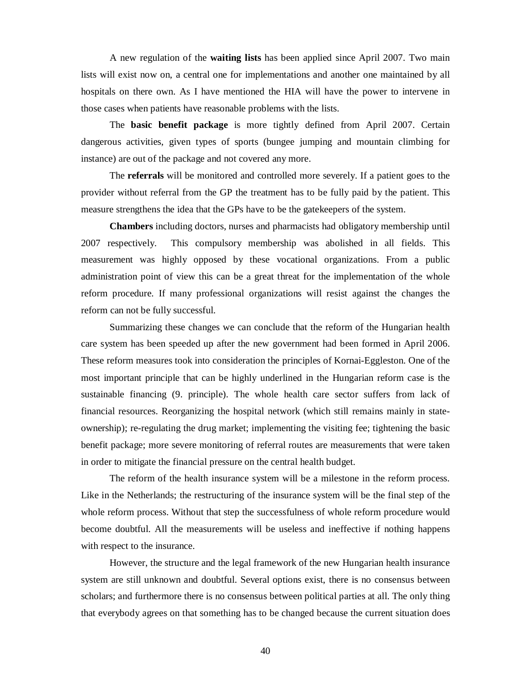A new regulation of the **waiting lists** has been applied since April 2007. Two main lists will exist now on, a central one for implementations and another one maintained by all hospitals on there own. As I have mentioned the HIA will have the power to intervene in those cases when patients have reasonable problems with the lists.

The **basic benefit package** is more tightly defined from April 2007. Certain dangerous activities, given types of sports (bungee jumping and mountain climbing for instance) are out of the package and not covered any more.

The **referrals** will be monitored and controlled more severely. If a patient goes to the provider without referral from the GP the treatment has to be fully paid by the patient. This measure strengthens the idea that the GPs have to be the gatekeepers of the system.

**Chambers** including doctors, nurses and pharmacists had obligatory membership until 2007 respectively. This compulsory membership was abolished in all fields. This measurement was highly opposed by these vocational organizations. From a public administration point of view this can be a great threat for the implementation of the whole reform procedure. If many professional organizations will resist against the changes the reform can not be fully successful.

Summarizing these changes we can conclude that the reform of the Hungarian health care system has been speeded up after the new government had been formed in April 2006. These reform measures took into consideration the principles of Kornai-Eggleston. One of the most important principle that can be highly underlined in the Hungarian reform case is the sustainable financing (9. principle). The whole health care sector suffers from lack of financial resources. Reorganizing the hospital network (which still remains mainly in stateownership); re-regulating the drug market; implementing the visiting fee; tightening the basic benefit package; more severe monitoring of referral routes are measurements that were taken in order to mitigate the financial pressure on the central health budget.

The reform of the health insurance system will be a milestone in the reform process. Like in the Netherlands; the restructuring of the insurance system will be the final step of the whole reform process. Without that step the successfulness of whole reform procedure would become doubtful. All the measurements will be useless and ineffective if nothing happens with respect to the insurance.

However, the structure and the legal framework of the new Hungarian health insurance system are still unknown and doubtful. Several options exist, there is no consensus between scholars; and furthermore there is no consensus between political parties at all. The only thing that everybody agrees on that something has to be changed because the current situation does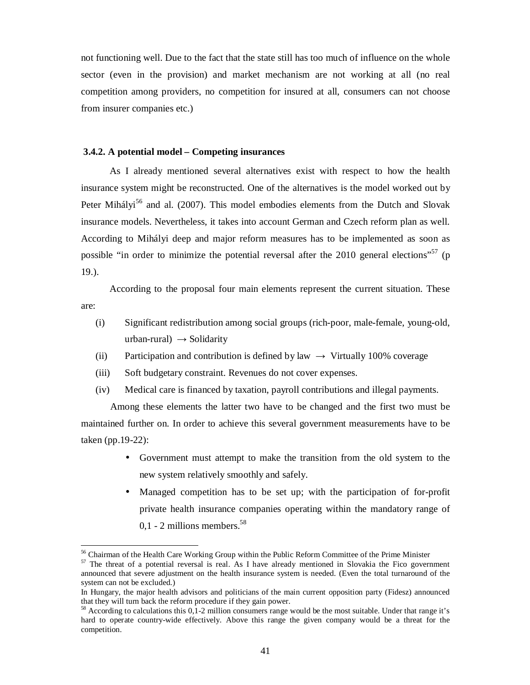not functioning well. Due to the fact that the state still has too much of influence on the whole sector (even in the provision) and market mechanism are not working at all (no real competition among providers, no competition for insured at all, consumers can not choose from insurer companies etc.)

#### **3.4.2. A potential model – Competing insurances**

As I already mentioned several alternatives exist with respect to how the health insurance system might be reconstructed. One of the alternatives is the model worked out by Peter Mihályi<sup>56</sup> and al. (2007). This model embodies elements from the Dutch and Slovak insurance models. Nevertheless, it takes into account German and Czech reform plan as well. According to Mihályi deep and major reform measures has to be implemented as soon as possible "in order to minimize the potential reversal after the  $2010$  general elections"<sup>57</sup> (p 19.).

According to the proposal four main elements represent the current situation. These are:

- (i) Significant redistribution among social groups (rich-poor, male-female, young-old, urban-rural)  $\rightarrow$  Solidarity
- (ii) Participation and contribution is defined by law  $\rightarrow$  Virtually 100% coverage
- (iii) Soft budgetary constraint. Revenues do not cover expenses.
- (iv) Medical care is financed by taxation, payroll contributions and illegal payments.

Among these elements the latter two have to be changed and the first two must be maintained further on. In order to achieve this several government measurements have to be taken (pp.19-22):

- Government must attempt to make the transition from the old system to the new system relatively smoothly and safely.
- Managed competition has to be set up; with the participation of for-profit private health insurance companies operating within the mandatory range of  $0.1 - 2$  millions members.<sup>58</sup>

<sup>&</sup>lt;sup>56</sup> Chairman of the Health Care Working Group within the Public Reform Committee of the Prime Minister

<sup>&</sup>lt;sup>57</sup> The threat of a potential reversal is real. As I have already mentioned in Slovakia the Fico government announced that severe adjustment on the health insurance system is needed. (Even the total turnaround of the system can not be excluded.)

In Hungary, the major health advisors and politicians of the main current opposition party (Fidesz) announced that they will turn back the reform procedure if they gain power.

 $58$  According to calculations this 0,1-2 million consumers range would be the most suitable. Under that range it's hard to operate country-wide effectively. Above this range the given company would be a threat for the competition.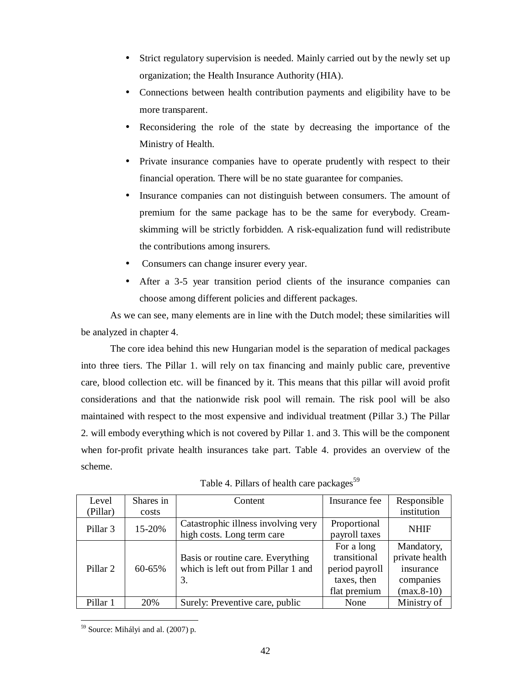- Strict regulatory supervision is needed. Mainly carried out by the newly set up organization; the Health Insurance Authority (HIA).
- Connections between health contribution payments and eligibility have to be more transparent.
- Reconsidering the role of the state by decreasing the importance of the Ministry of Health.
- Private insurance companies have to operate prudently with respect to their financial operation. There will be no state guarantee for companies.
- Insurance companies can not distinguish between consumers. The amount of premium for the same package has to be the same for everybody. Creamskimming will be strictly forbidden. A risk-equalization fund will redistribute the contributions among insurers.
- Consumers can change insurer every year.
- After a 3-5 year transition period clients of the insurance companies can choose among different policies and different packages.

As we can see, many elements are in line with the Dutch model; these similarities will be analyzed in chapter 4.

The core idea behind this new Hungarian model is the separation of medical packages into three tiers. The Pillar 1. will rely on tax financing and mainly public care, preventive care, blood collection etc. will be financed by it. This means that this pillar will avoid profit considerations and that the nationwide risk pool will remain. The risk pool will be also maintained with respect to the most expensive and individual treatment (Pillar 3.) The Pillar 2. will embody everything which is not covered by Pillar 1. and 3. This will be the component when for-profit private health insurances take part. Table 4. provides an overview of the scheme.

| Level<br>(Pillar)   | Shares in<br>costs | Content                                                                        | Insurance fee                                                               | Responsible<br>institution                                             |
|---------------------|--------------------|--------------------------------------------------------------------------------|-----------------------------------------------------------------------------|------------------------------------------------------------------------|
| Pillar <sub>3</sub> | 15-20%             | Catastrophic illness involving very<br>high costs. Long term care              | Proportional<br>payroll taxes                                               | <b>NHIF</b>                                                            |
| Pillar <sub>2</sub> | 60-65%             | Basis or routine care. Everything<br>which is left out from Pillar 1 and<br>3. | For a long<br>transitional<br>period payroll<br>taxes, then<br>flat premium | Mandatory,<br>private health<br>insurance<br>companies<br>$(max.8-10)$ |
| Pillar 1            | 20%                | Surely: Preventive care, public                                                | None                                                                        | Ministry of                                                            |

Table 4. Pillars of health care packages<sup>59</sup>

<sup>-</sup><sup>59</sup> Source: Mihályi and al. (2007) p.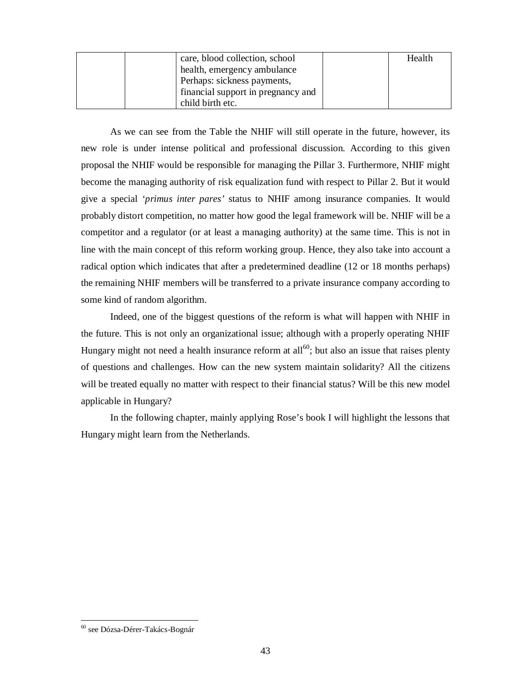| care, blood collection, school     | Health |
|------------------------------------|--------|
| health, emergency ambulance        |        |
| Perhaps: sickness payments,        |        |
| financial support in pregnancy and |        |
| child birth etc.                   |        |

As we can see from the Table the NHIF will still operate in the future, however, its new role is under intense political and professional discussion. According to this given proposal the NHIF would be responsible for managing the Pillar 3. Furthermore, NHIF might become the managing authority of risk equalization fund with respect to Pillar 2. But it would give a special *'primus inter pares'* status to NHIF among insurance companies. It would probably distort competition, no matter how good the legal framework will be. NHIF will be a competitor and a regulator (or at least a managing authority) at the same time. This is not in line with the main concept of this reform working group. Hence, they also take into account a radical option which indicates that after a predetermined deadline (12 or 18 months perhaps) the remaining NHIF members will be transferred to a private insurance company according to some kind of random algorithm.

Indeed, one of the biggest questions of the reform is what will happen with NHIF in the future. This is not only an organizational issue; although with a properly operating NHIF Hungary might not need a health insurance reform at all<sup>60</sup>; but also an issue that raises plenty of questions and challenges. How can the new system maintain solidarity? All the citizens will be treated equally no matter with respect to their financial status? Will be this new model applicable in Hungary?

In the following chapter, mainly applying Rose's book I will highlight the lessons that Hungary might learn from the Netherlands.

<sup>60</sup> see Dózsa-Dérer-Takács-Bognár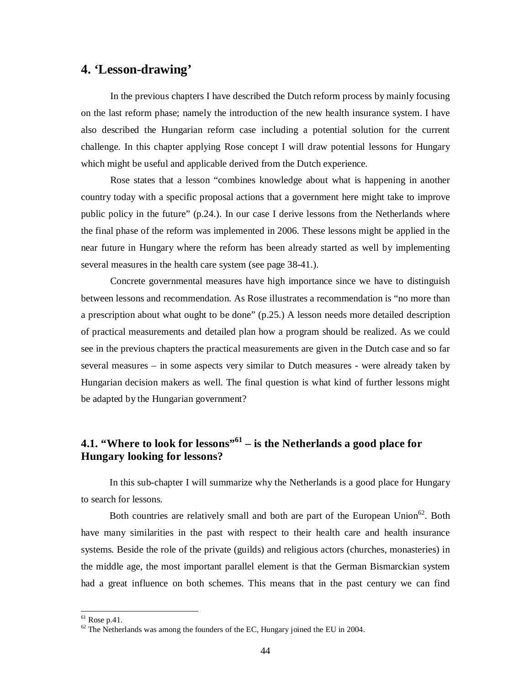## **4. 'Lesson-drawing'**

In the previous chapters I have described the Dutch reform process by mainly focusing on the last reform phase; namely the introduction of the new health insurance system. I have also described the Hungarian reform case including a potential solution for the current challenge. In this chapter applying Rose concept I will draw potential lessons for Hungary which might be useful and applicable derived from the Dutch experience.

Rose states that a lesson "combines knowledge about what is happening in another country today with a specific proposal actions that a government here might take to improve public policy in the future" (p.24.). In our case I derive lessons from the Netherlands where the final phase of the reform was implemented in 2006. These lessons might be applied in the near future in Hungary where the reform has been already started as well by implementing several measures in the health care system (see page 38-41.).

Concrete governmental measures have high importance since we have to distinguish between lessons and recommendation. As Rose illustrates a recommendation is "no more than a prescription about what ought to be done" (p.25.) A lesson needs more detailed description of practical measurements and detailed plan how a program should be realized. As we could see in the previous chapters the practical measurements are given in the Dutch case and so far several measures – in some aspects very similar to Dutch measures - were already taken by Hungarian decision makers as well. The final question is what kind of further lessons might be adapted by the Hungarian government?

## **4.1. "Where to look for lessons"<sup>61</sup> – is the Netherlands a good place for Hungary looking for lessons?**

In this sub-chapter I will summarize why the Netherlands is a good place for Hungary to search for lessons.

Both countries are relatively small and both are part of the European Union<sup>62</sup>. Both have many similarities in the past with respect to their health care and health insurance systems. Beside the role of the private (guilds) and religious actors (churches, monasteries) in the middle age, the most important parallel element is that the German Bismarckian system had a great influence on both schemes. This means that in the past century we can find

 $<sup>61</sup>$  Rose p.41.</sup>

 $62$  The Netherlands was among the founders of the EC, Hungary joined the EU in 2004.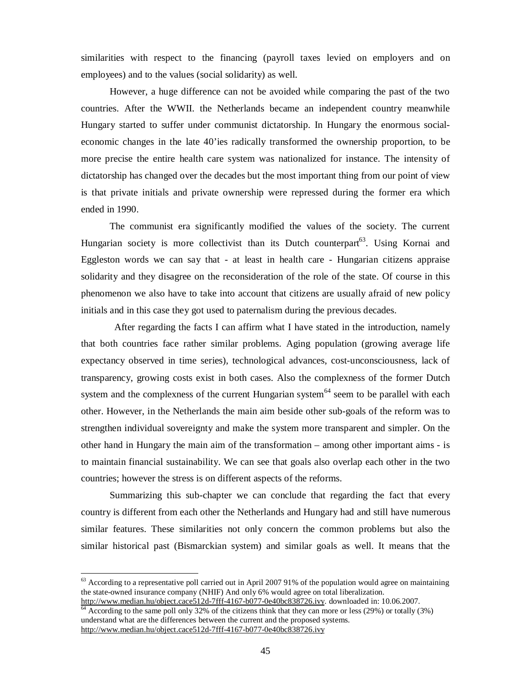similarities with respect to the financing (payroll taxes levied on employers and on employees) and to the values (social solidarity) as well.

However, a huge difference can not be avoided while comparing the past of the two countries. After the WWII. the Netherlands became an independent country meanwhile Hungary started to suffer under communist dictatorship. In Hungary the enormous socialeconomic changes in the late 40'ies radically transformed the ownership proportion, to be more precise the entire health care system was nationalized for instance. The intensity of dictatorship has changed over the decades but the most important thing from our point of view is that private initials and private ownership were repressed during the former era which ended in 1990.

The communist era significantly modified the values of the society. The current Hungarian society is more collectivist than its Dutch counterpart<sup>63</sup>. Using Kornai and Eggleston words we can say that - at least in health care - Hungarian citizens appraise solidarity and they disagree on the reconsideration of the role of the state. Of course in this phenomenon we also have to take into account that citizens are usually afraid of new policy initials and in this case they got used to paternalism during the previous decades.

After regarding the facts I can affirm what I have stated in the introduction, namely that both countries face rather similar problems. Aging population (growing average life expectancy observed in time series), technological advances, cost-unconsciousness, lack of transparency, growing costs exist in both cases. Also the complexness of the former Dutch system and the complexness of the current Hungarian system<sup>64</sup> seem to be parallel with each other. However, in the Netherlands the main aim beside other sub-goals of the reform was to strengthen individual sovereignty and make the system more transparent and simpler. On the other hand in Hungary the main aim of the transformation – among other important aims - is to maintain financial sustainability. We can see that goals also overlap each other in the two countries; however the stress is on different aspects of the reforms.

Summarizing this sub-chapter we can conclude that regarding the fact that every country is different from each other the Netherlands and Hungary had and still have numerous similar features. These similarities not only concern the common problems but also the similar historical past (Bismarckian system) and similar goals as well. It means that the

 $^{63}$  According to a representative poll carried out in April 2007 91% of the population would agree on maintaining the state-owned insurance company (NHIF) And only 6% would agree on total liberalization. <http://www.median.hu/object.cace512d-7fff-4167-b077-0e40bc838726.ivy>. downloaded in: 10.06.2007.

 $\frac{64}{64}$  According to the same poll only 32% of the citizens think that they can more or less (29%) or totally (3%) understand what are the differences between the current and the proposed systems. <http://www.median.hu/object.cace512d-7fff-4167-b077-0e40bc838726.ivy>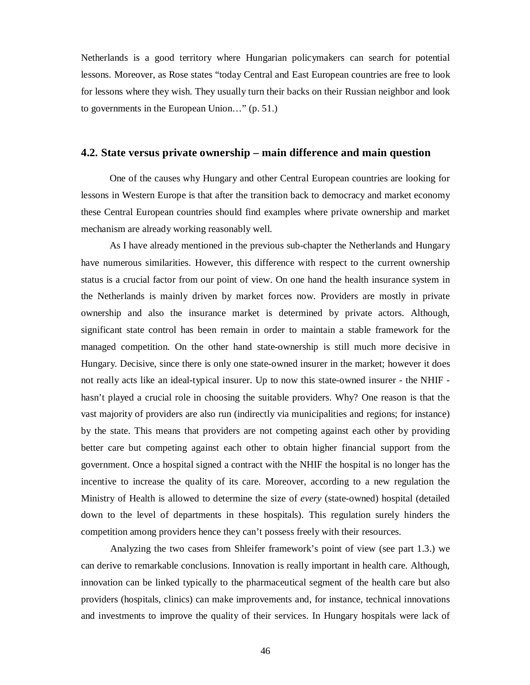Netherlands is a good territory where Hungarian policymakers can search for potential lessons. Moreover, as Rose states "today Central and East European countries are free to look for lessons where they wish. They usually turn their backs on their Russian neighbor and look to governments in the European Union…" (p. 51.)

### **4.2. State versus private ownership – main difference and main question**

One of the causes why Hungary and other Central European countries are looking for lessons in Western Europe is that after the transition back to democracy and market economy these Central European countries should find examples where private ownership and market mechanism are already working reasonably well.

As I have already mentioned in the previous sub-chapter the Netherlands and Hungary have numerous similarities. However, this difference with respect to the current ownership status is a crucial factor from our point of view. On one hand the health insurance system in the Netherlands is mainly driven by market forces now. Providers are mostly in private ownership and also the insurance market is determined by private actors. Although, significant state control has been remain in order to maintain a stable framework for the managed competition. On the other hand state-ownership is still much more decisive in Hungary. Decisive, since there is only one state-owned insurer in the market; however it does not really acts like an ideal-typical insurer. Up to now this state-owned insurer - the NHIF hasn't played a crucial role in choosing the suitable providers. Why? One reason is that the vast majority of providers are also run (indirectly via municipalities and regions; for instance) by the state. This means that providers are not competing against each other by providing better care but competing against each other to obtain higher financial support from the government. Once a hospital signed a contract with the NHIF the hospital is no longer has the incentive to increase the quality of its care. Moreover, according to a new regulation the Ministry of Health is allowed to determine the size of *every* (state-owned) hospital (detailed down to the level of departments in these hospitals). This regulation surely hinders the competition among providers hence they can't possess freely with their resources.

Analyzing the two cases from Shleifer framework's point of view (see part 1.3.) we can derive to remarkable conclusions. Innovation is really important in health care. Although, innovation can be linked typically to the pharmaceutical segment of the health care but also providers (hospitals, clinics) can make improvements and, for instance, technical innovations and investments to improve the quality of their services. In Hungary hospitals were lack of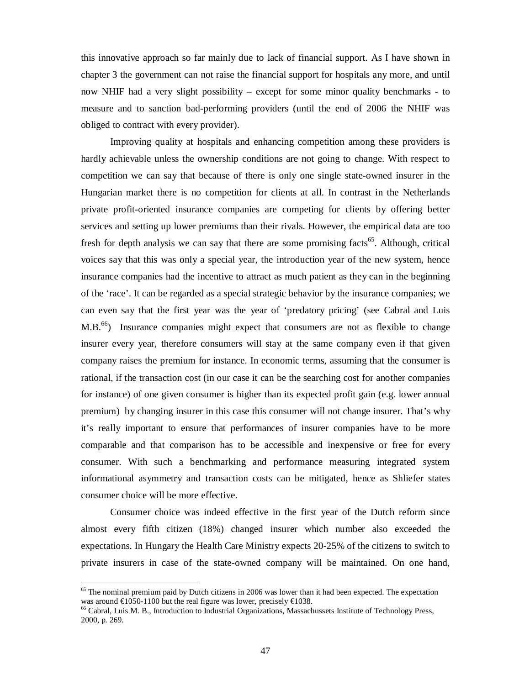this innovative approach so far mainly due to lack of financial support. As I have shown in chapter 3 the government can not raise the financial support for hospitals any more, and until now NHIF had a very slight possibility – except for some minor quality benchmarks - to measure and to sanction bad-performing providers (until the end of 2006 the NHIF was obliged to contract with every provider).

Improving quality at hospitals and enhancing competition among these providers is hardly achievable unless the ownership conditions are not going to change. With respect to competition we can say that because of there is only one single state-owned insurer in the Hungarian market there is no competition for clients at all. In contrast in the Netherlands private profit-oriented insurance companies are competing for clients by offering better services and setting up lower premiums than their rivals. However, the empirical data are too fresh for depth analysis we can say that there are some promising facts<sup>65</sup>. Although, critical voices say that this was only a special year, the introduction year of the new system, hence insurance companies had the incentive to attract as much patient as they can in the beginning of the 'race'. It can be regarded as a special strategic behavior by the insurance companies; we can even say that the first year was the year of 'predatory pricing' (see Cabral and Luis  $M.B.<sup>66</sup>$ ) Insurance companies might expect that consumers are not as flexible to change insurer every year, therefore consumers will stay at the same company even if that given company raises the premium for instance. In economic terms, assuming that the consumer is rational, if the transaction cost (in our case it can be the searching cost for another companies for instance) of one given consumer is higher than its expected profit gain (e.g. lower annual premium) by changing insurer in this case this consumer will not change insurer. That's why it's really important to ensure that performances of insurer companies have to be more comparable and that comparison has to be accessible and inexpensive or free for every consumer. With such a benchmarking and performance measuring integrated system informational asymmetry and transaction costs can be mitigated, hence as Shliefer states consumer choice will be more effective.

Consumer choice was indeed effective in the first year of the Dutch reform since almost every fifth citizen (18%) changed insurer which number also exceeded the expectations. In Hungary the Health Care Ministry expects 20-25% of the citizens to switch to private insurers in case of the state-owned company will be maintained. On one hand,

 $\overline{a}$ 

 $65$  The nominal premium paid by Dutch citizens in 2006 was lower than it had been expected. The expectation was around  $\epsilon$ 1050-1100 but the real figure was lower, precisely  $\epsilon$ 1038.

<sup>66</sup> Cabral, Luis M. B., Introduction to Industrial Organizations, Massachussets Institute of Technology Press, 2000, p. 269.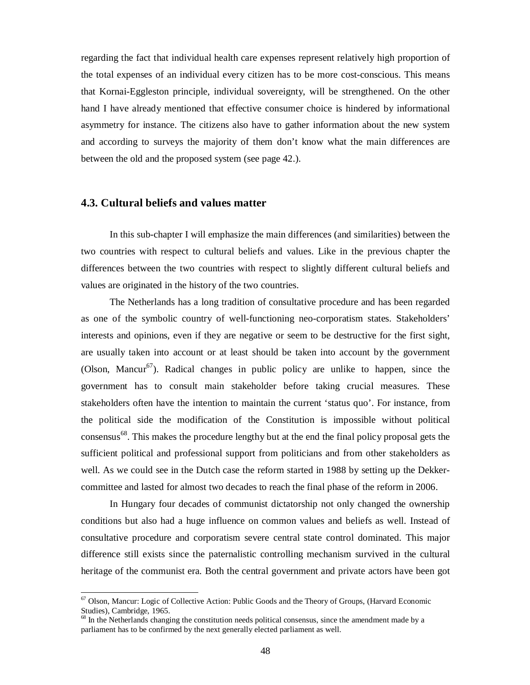regarding the fact that individual health care expenses represent relatively high proportion of the total expenses of an individual every citizen has to be more cost-conscious. This means that Kornai-Eggleston principle, individual sovereignty, will be strengthened. On the other hand I have already mentioned that effective consumer choice is hindered by informational asymmetry for instance. The citizens also have to gather information about the new system and according to surveys the majority of them don't know what the main differences are between the old and the proposed system (see page 42.).

#### **4.3. Cultural beliefs and values matter**

-

In this sub-chapter I will emphasize the main differences (and similarities) between the two countries with respect to cultural beliefs and values. Like in the previous chapter the differences between the two countries with respect to slightly different cultural beliefs and values are originated in the history of the two countries.

The Netherlands has a long tradition of consultative procedure and has been regarded as one of the symbolic country of well-functioning neo-corporatism states. Stakeholders' interests and opinions, even if they are negative or seem to be destructive for the first sight, are usually taken into account or at least should be taken into account by the government (Olson, Mancur<sup>67</sup>). Radical changes in public policy are unlike to happen, since the government has to consult main stakeholder before taking crucial measures. These stakeholders often have the intention to maintain the current 'status quo'. For instance, from the political side the modification of the Constitution is impossible without political consensus 68 . This makes the procedure lengthy but at the end the final policy proposal gets the sufficient political and professional support from politicians and from other stakeholders as well. As we could see in the Dutch case the reform started in 1988 by setting up the Dekkercommittee and lasted for almost two decades to reach the final phase of the reform in 2006.

In Hungary four decades of communist dictatorship not only changed the ownership conditions but also had a huge influence on common values and beliefs as well. Instead of consultative procedure and corporatism severe central state control dominated. This major difference still exists since the paternalistic controlling mechanism survived in the cultural heritage of the communist era. Both the central government and private actors have been got

<sup>&</sup>lt;sup>67</sup> Olson, Mancur: Logic of Collective Action: Public Goods and the Theory of Groups, (Harvard Economic Studies), Cambridge, 1965.

<sup>&</sup>lt;sup>68</sup> In the Netherlands changing the constitution needs political consensus, since the amendment made by a parliament has to be confirmed by the next generally elected parliament as well.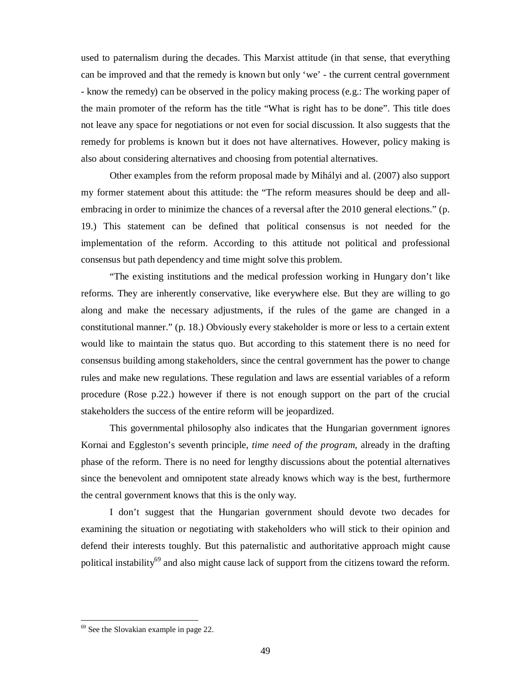used to paternalism during the decades. This Marxist attitude (in that sense, that everything can be improved and that the remedy is known but only 'we' - the current central government - know the remedy) can be observed in the policy making process (e.g.: The working paper of the main promoter of the reform has the title "What is right has to be done". This title does not leave any space for negotiations or not even for social discussion. It also suggests that the remedy for problems is known but it does not have alternatives. However, policy making is also about considering alternatives and choosing from potential alternatives.

Other examples from the reform proposal made by Mihályi and al. (2007) also support my former statement about this attitude: the "The reform measures should be deep and allembracing in order to minimize the chances of a reversal after the 2010 general elections." (p. 19.) This statement can be defined that political consensus is not needed for the implementation of the reform. According to this attitude not political and professional consensus but path dependency and time might solve this problem.

"The existing institutions and the medical profession working in Hungary don't like reforms. They are inherently conservative, like everywhere else. But they are willing to go along and make the necessary adjustments, if the rules of the game are changed in a constitutional manner." (p. 18.) Obviously every stakeholder is more or less to a certain extent would like to maintain the status quo. But according to this statement there is no need for consensus building among stakeholders, since the central government has the power to change rules and make new regulations. These regulation and laws are essential variables of a reform procedure (Rose p.22.) however if there is not enough support on the part of the crucial stakeholders the success of the entire reform will be jeopardized.

This governmental philosophy also indicates that the Hungarian government ignores Kornai and Eggleston's seventh principle, *time need of the program*, already in the drafting phase of the reform. There is no need for lengthy discussions about the potential alternatives since the benevolent and omnipotent state already knows which way is the best, furthermore the central government knows that this is the only way.

I don't suggest that the Hungarian government should devote two decades for examining the situation or negotiating with stakeholders who will stick to their opinion and defend their interests toughly. But this paternalistic and authoritative approach might cause political instability<sup>69</sup> and also might cause lack of support from the citizens toward the reform.

 $69$  See the Slovakian example in page 22.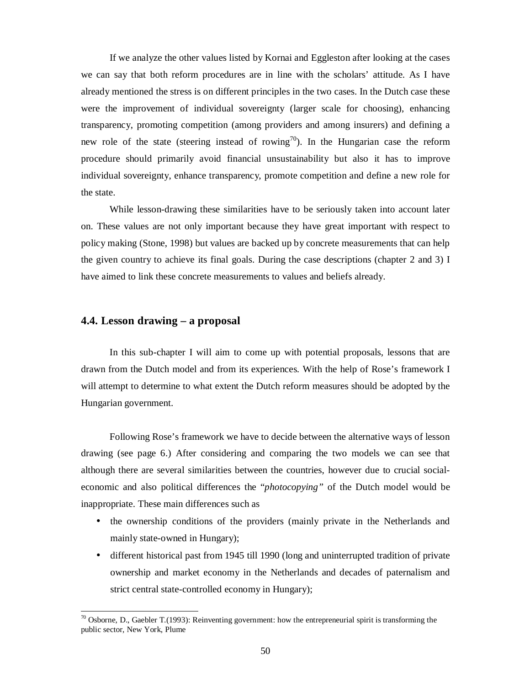If we analyze the other values listed by Kornai and Eggleston after looking at the cases we can say that both reform procedures are in line with the scholars' attitude. As I have already mentioned the stress is on different principles in the two cases. In the Dutch case these were the improvement of individual sovereignty (larger scale for choosing), enhancing transparency, promoting competition (among providers and among insurers) and defining a new role of the state (steering instead of rowing<sup>70</sup>). In the Hungarian case the reform procedure should primarily avoid financial unsustainability but also it has to improve individual sovereignty, enhance transparency, promote competition and define a new role for the state.

While lesson-drawing these similarities have to be seriously taken into account later on. These values are not only important because they have great important with respect to policy making (Stone, 1998) but values are backed up by concrete measurements that can help the given country to achieve its final goals. During the case descriptions (chapter 2 and 3) I have aimed to link these concrete measurements to values and beliefs already.

### **4.4. Lesson drawing – a proposal**

-

In this sub-chapter I will aim to come up with potential proposals, lessons that are drawn from the Dutch model and from its experiences. With the help of Rose's framework I will attempt to determine to what extent the Dutch reform measures should be adopted by the Hungarian government.

Following Rose's framework we have to decide between the alternative ways of lesson drawing (see page 6.) After considering and comparing the two models we can see that although there are several similarities between the countries, however due to crucial socialeconomic and also political differences the "*photocopying"* of the Dutch model would be inappropriate. These main differences such as

- the ownership conditions of the providers (mainly private in the Netherlands and mainly state-owned in Hungary);
- different historical past from 1945 till 1990 (long and uninterrupted tradition of private ownership and market economy in the Netherlands and decades of paternalism and strict central state-controlled economy in Hungary);

 $\overline{C}$  Osborne, D., Gaebler T.(1993): Reinventing government: how the entrepreneurial spirit is transforming the public sector, New York, Plume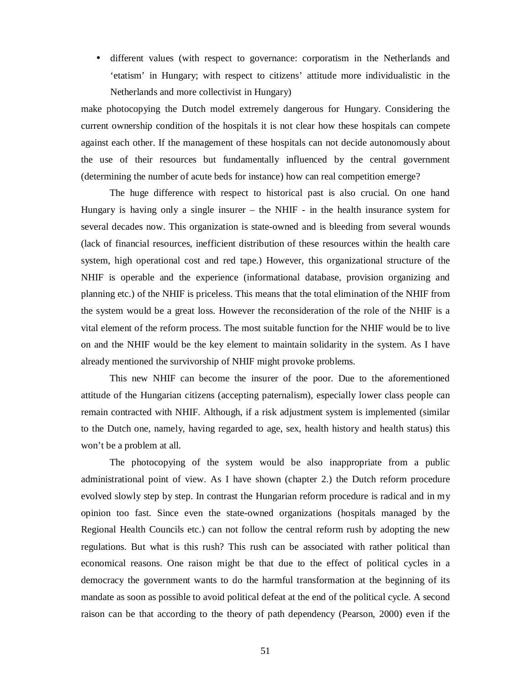• different values (with respect to governance: corporatism in the Netherlands and 'etatism' in Hungary; with respect to citizens' attitude more individualistic in the Netherlands and more collectivist in Hungary)

make photocopying the Dutch model extremely dangerous for Hungary. Considering the current ownership condition of the hospitals it is not clear how these hospitals can compete against each other. If the management of these hospitals can not decide autonomously about the use of their resources but fundamentally influenced by the central government (determining the number of acute beds for instance) how can real competition emerge?

The huge difference with respect to historical past is also crucial. On one hand Hungary is having only a single insurer – the NHIF - in the health insurance system for several decades now. This organization is state-owned and is bleeding from several wounds (lack of financial resources, inefficient distribution of these resources within the health care system, high operational cost and red tape.) However, this organizational structure of the NHIF is operable and the experience (informational database, provision organizing and planning etc.) of the NHIF is priceless. This means that the total elimination of the NHIF from the system would be a great loss. However the reconsideration of the role of the NHIF is a vital element of the reform process. The most suitable function for the NHIF would be to live on and the NHIF would be the key element to maintain solidarity in the system. As I have already mentioned the survivorship of NHIF might provoke problems.

This new NHIF can become the insurer of the poor. Due to the aforementioned attitude of the Hungarian citizens (accepting paternalism), especially lower class people can remain contracted with NHIF. Although, if a risk adjustment system is implemented (similar to the Dutch one, namely, having regarded to age, sex, health history and health status) this won't be a problem at all.

The photocopying of the system would be also inappropriate from a public administrational point of view. As I have shown (chapter 2.) the Dutch reform procedure evolved slowly step by step. In contrast the Hungarian reform procedure is radical and in my opinion too fast. Since even the state-owned organizations (hospitals managed by the Regional Health Councils etc.) can not follow the central reform rush by adopting the new regulations. But what is this rush? This rush can be associated with rather political than economical reasons. One raison might be that due to the effect of political cycles in a democracy the government wants to do the harmful transformation at the beginning of its mandate as soon as possible to avoid political defeat at the end of the political cycle. A second raison can be that according to the theory of path dependency (Pearson, 2000) even if the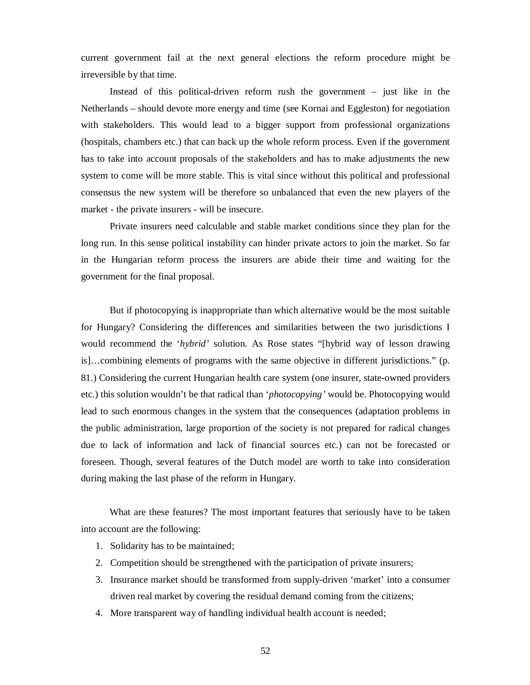current government fail at the next general elections the reform procedure might be irreversible by that time.

Instead of this political-driven reform rush the government – just like in the Netherlands – should devote more energy and time (see Kornai and Eggleston) for negotiation with stakeholders. This would lead to a bigger support from professional organizations (hospitals, chambers etc.) that can back up the whole reform process. Even if the government has to take into account proposals of the stakeholders and has to make adjustments the new system to come will be more stable. This is vital since without this political and professional consensus the new system will be therefore so unbalanced that even the new players of the market - the private insurers - will be insecure.

Private insurers need calculable and stable market conditions since they plan for the long run. In this sense political instability can hinder private actors to join the market. So far in the Hungarian reform process the insurers are abide their time and waiting for the government for the final proposal.

But if photocopying is inappropriate than which alternative would be the most suitable for Hungary? Considering the differences and similarities between the two jurisdictions I would recommend the '*hybrid'* solution. As Rose states "[hybrid way of lesson drawing is]…combining elements of programs with the same objective in different jurisdictions." (p. 81.) Considering the current Hungarian health care system (one insurer, state-owned providers etc.) this solution wouldn't be that radical than '*photocopying'* would be. Photocopying would lead to such enormous changes in the system that the consequences (adaptation problems in the public administration, large proportion of the society is not prepared for radical changes due to lack of information and lack of financial sources etc.) can not be forecasted or foreseen. Though, several features of the Dutch model are worth to take into consideration during making the last phase of the reform in Hungary.

What are these features? The most important features that seriously have to be taken into account are the following:

- 1. Solidarity has to be maintained;
- 2. Competition should be strengthened with the participation of private insurers;
- 3. Insurance market should be transformed from supply-driven 'market' into a consumer driven real market by covering the residual demand coming from the citizens;
- 4. More transparent way of handling individual health account is needed;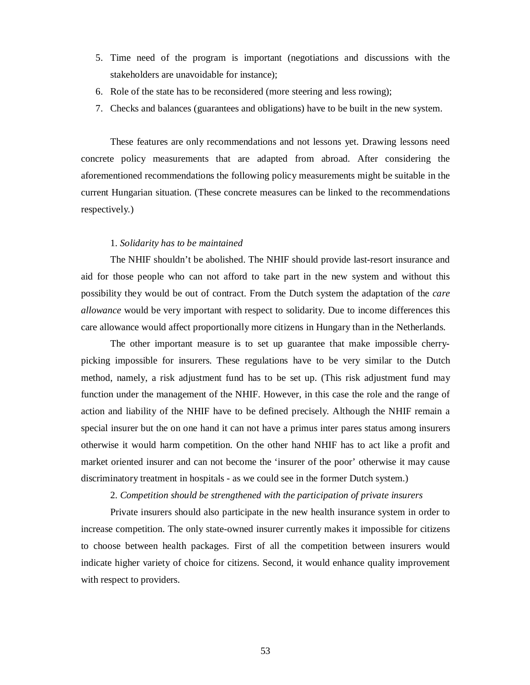- 5. Time need of the program is important (negotiations and discussions with the stakeholders are unavoidable for instance);
- 6. Role of the state has to be reconsidered (more steering and less rowing);
- 7. Checks and balances (guarantees and obligations) have to be built in the new system.

These features are only recommendations and not lessons yet. Drawing lessons need concrete policy measurements that are adapted from abroad. After considering the aforementioned recommendations the following policy measurements might be suitable in the current Hungarian situation. (These concrete measures can be linked to the recommendations respectively.)

#### 1. *Solidarity has to be maintained*

The NHIF shouldn't be abolished. The NHIF should provide last-resort insurance and aid for those people who can not afford to take part in the new system and without this possibility they would be out of contract. From the Dutch system the adaptation of the *care allowance* would be very important with respect to solidarity. Due to income differences this care allowance would affect proportionally more citizens in Hungary than in the Netherlands.

The other important measure is to set up guarantee that make impossible cherrypicking impossible for insurers. These regulations have to be very similar to the Dutch method, namely, a risk adjustment fund has to be set up. (This risk adjustment fund may function under the management of the NHIF. However, in this case the role and the range of action and liability of the NHIF have to be defined precisely. Although the NHIF remain a special insurer but the on one hand it can not have a primus inter pares status among insurers otherwise it would harm competition. On the other hand NHIF has to act like a profit and market oriented insurer and can not become the 'insurer of the poor' otherwise it may cause discriminatory treatment in hospitals - as we could see in the former Dutch system.)

#### 2. *Competition should be strengthened with the participation of private insurers*

Private insurers should also participate in the new health insurance system in order to increase competition. The only state-owned insurer currently makes it impossible for citizens to choose between health packages. First of all the competition between insurers would indicate higher variety of choice for citizens. Second, it would enhance quality improvement with respect to providers.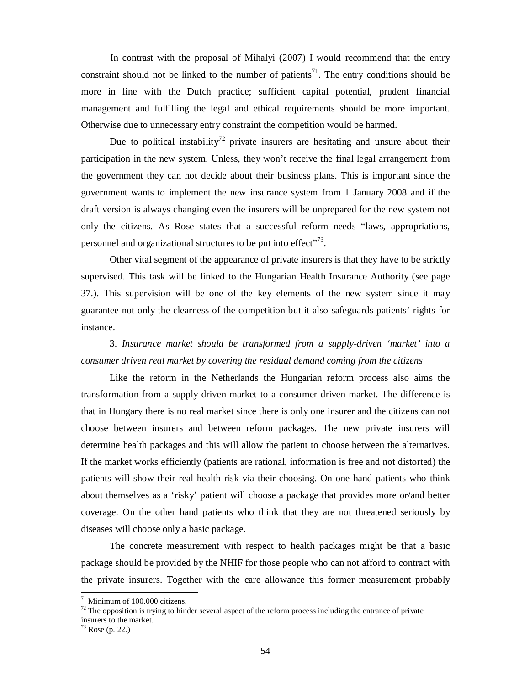In contrast with the proposal of Mihalyi (2007) I would recommend that the entry constraint should not be linked to the number of patients<sup>71</sup>. The entry conditions should be more in line with the Dutch practice; sufficient capital potential, prudent financial management and fulfilling the legal and ethical requirements should be more important. Otherwise due to unnecessary entry constraint the competition would be harmed.

Due to political instability<sup>72</sup> private insurers are hesitating and unsure about their participation in the new system. Unless, they won't receive the final legal arrangement from the government they can not decide about their business plans. This is important since the government wants to implement the new insurance system from 1 January 2008 and if the draft version is always changing even the insurers will be unprepared for the new system not only the citizens. As Rose states that a successful reform needs "laws, appropriations, personnel and organizational structures to be put into effect $^{373}$ .

Other vital segment of the appearance of private insurers is that they have to be strictly supervised. This task will be linked to the Hungarian Health Insurance Authority (see page 37.). This supervision will be one of the key elements of the new system since it may guarantee not only the clearness of the competition but it also safeguards patients' rights for instance.

3. *Insurance market should be transformed from a supply-driven 'market' into a consumer driven real market by covering the residual demand coming from the citizens* 

Like the reform in the Netherlands the Hungarian reform process also aims the transformation from a supply-driven market to a consumer driven market. The difference is that in Hungary there is no real market since there is only one insurer and the citizens can not choose between insurers and between reform packages. The new private insurers will determine health packages and this will allow the patient to choose between the alternatives. If the market works efficiently (patients are rational, information is free and not distorted) the patients will show their real health risk via their choosing. On one hand patients who think about themselves as a 'risky' patient will choose a package that provides more or/and better coverage. On the other hand patients who think that they are not threatened seriously by diseases will choose only a basic package.

The concrete measurement with respect to health packages might be that a basic package should be provided by the NHIF for those people who can not afford to contract with the private insurers. Together with the care allowance this former measurement probably

 $71$  Minimum of 100.000 citizens.

 $72$  The opposition is trying to hinder several aspect of the reform process including the entrance of private insurers to the market.

 $73$  Rose (p. 22.)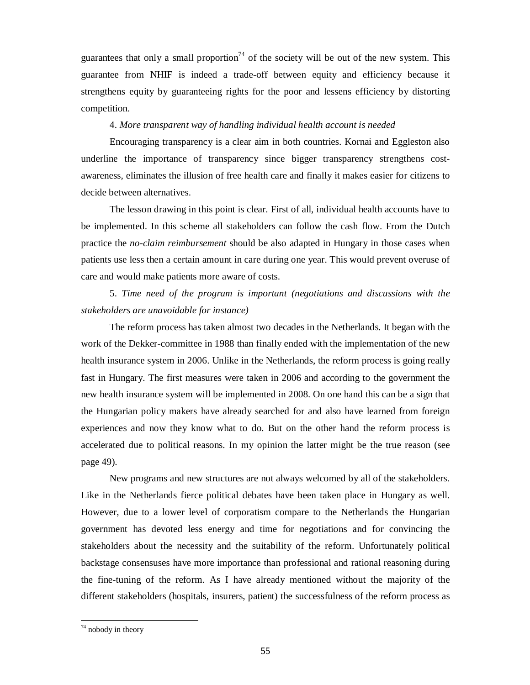guarantees that only a small proportion<sup>74</sup> of the society will be out of the new system. This guarantee from NHIF is indeed a trade-off between equity and efficiency because it strengthens equity by guaranteeing rights for the poor and lessens efficiency by distorting competition.

#### 4. *More transparent way of handling individual health account is needed*

Encouraging transparency is a clear aim in both countries. Kornai and Eggleston also underline the importance of transparency since bigger transparency strengthens costawareness, eliminates the illusion of free health care and finally it makes easier for citizens to decide between alternatives.

The lesson drawing in this point is clear. First of all, individual health accounts have to be implemented. In this scheme all stakeholders can follow the cash flow. From the Dutch practice the *no-claim reimbursement* should be also adapted in Hungary in those cases when patients use less then a certain amount in care during one year. This would prevent overuse of care and would make patients more aware of costs.

5. *Time need of the program is important (negotiations and discussions with the stakeholders are unavoidable for instance)*

The reform process has taken almost two decades in the Netherlands. It began with the work of the Dekker-committee in 1988 than finally ended with the implementation of the new health insurance system in 2006. Unlike in the Netherlands, the reform process is going really fast in Hungary. The first measures were taken in 2006 and according to the government the new health insurance system will be implemented in 2008. On one hand this can be a sign that the Hungarian policy makers have already searched for and also have learned from foreign experiences and now they know what to do. But on the other hand the reform process is accelerated due to political reasons. In my opinion the latter might be the true reason (see page 49).

New programs and new structures are not always welcomed by all of the stakeholders. Like in the Netherlands fierce political debates have been taken place in Hungary as well. However, due to a lower level of corporatism compare to the Netherlands the Hungarian government has devoted less energy and time for negotiations and for convincing the stakeholders about the necessity and the suitability of the reform. Unfortunately political backstage consensuses have more importance than professional and rational reasoning during the fine-tuning of the reform. As I have already mentioned without the majority of the different stakeholders (hospitals, insurers, patient) the successfulness of the reform process as

 $74$  nobody in theory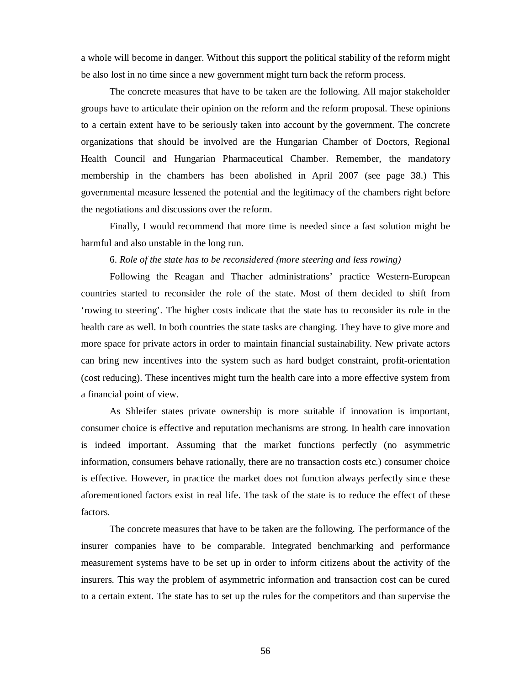a whole will become in danger. Without this support the political stability of the reform might be also lost in no time since a new government might turn back the reform process.

The concrete measures that have to be taken are the following. All major stakeholder groups have to articulate their opinion on the reform and the reform proposal. These opinions to a certain extent have to be seriously taken into account by the government. The concrete organizations that should be involved are the Hungarian Chamber of Doctors, Regional Health Council and Hungarian Pharmaceutical Chamber. Remember, the mandatory membership in the chambers has been abolished in April 2007 (see page 38.) This governmental measure lessened the potential and the legitimacy of the chambers right before the negotiations and discussions over the reform.

Finally, I would recommend that more time is needed since a fast solution might be harmful and also unstable in the long run.

#### 6. *Role of the state has to be reconsidered (more steering and less rowing)*

Following the Reagan and Thacher administrations' practice Western-European countries started to reconsider the role of the state. Most of them decided to shift from 'rowing to steering'. The higher costs indicate that the state has to reconsider its role in the health care as well. In both countries the state tasks are changing. They have to give more and more space for private actors in order to maintain financial sustainability. New private actors can bring new incentives into the system such as hard budget constraint, profit-orientation (cost reducing). These incentives might turn the health care into a more effective system from a financial point of view.

As Shleifer states private ownership is more suitable if innovation is important, consumer choice is effective and reputation mechanisms are strong. In health care innovation is indeed important. Assuming that the market functions perfectly (no asymmetric information, consumers behave rationally, there are no transaction costs etc.) consumer choice is effective. However, in practice the market does not function always perfectly since these aforementioned factors exist in real life. The task of the state is to reduce the effect of these factors.

The concrete measures that have to be taken are the following. The performance of the insurer companies have to be comparable. Integrated benchmarking and performance measurement systems have to be set up in order to inform citizens about the activity of the insurers. This way the problem of asymmetric information and transaction cost can be cured to a certain extent. The state has to set up the rules for the competitors and than supervise the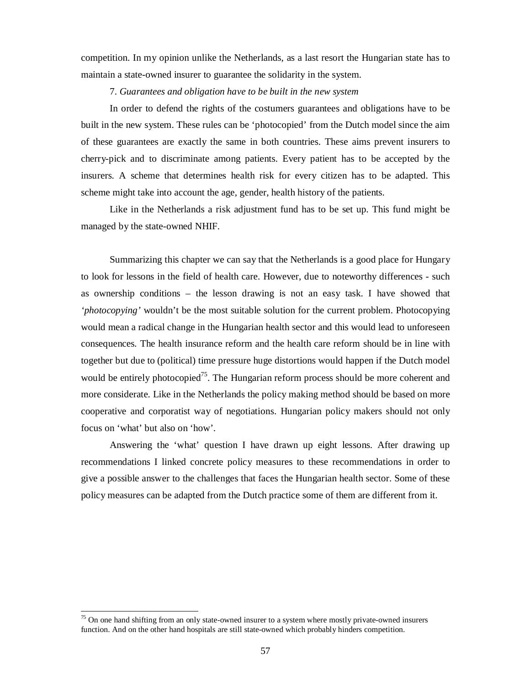competition. In my opinion unlike the Netherlands, as a last resort the Hungarian state has to maintain a state-owned insurer to guarantee the solidarity in the system.

7. *Guarantees and obligation have to be built in the new system* 

In order to defend the rights of the costumers guarantees and obligations have to be built in the new system. These rules can be 'photocopied' from the Dutch model since the aim of these guarantees are exactly the same in both countries. These aims prevent insurers to cherry-pick and to discriminate among patients. Every patient has to be accepted by the insurers. A scheme that determines health risk for every citizen has to be adapted. This scheme might take into account the age, gender, health history of the patients.

Like in the Netherlands a risk adjustment fund has to be set up. This fund might be managed by the state-owned NHIF.

Summarizing this chapter we can say that the Netherlands is a good place for Hungary to look for lessons in the field of health care. However, due to noteworthy differences - such as ownership conditions – the lesson drawing is not an easy task. I have showed that *'photocopying'* wouldn't be the most suitable solution for the current problem. Photocopying would mean a radical change in the Hungarian health sector and this would lead to unforeseen consequences. The health insurance reform and the health care reform should be in line with together but due to (political) time pressure huge distortions would happen if the Dutch model would be entirely photocopied<sup>75</sup>. The Hungarian reform process should be more coherent and more considerate. Like in the Netherlands the policy making method should be based on more cooperative and corporatist way of negotiations. Hungarian policy makers should not only focus on 'what' but also on 'how'.

Answering the 'what' question I have drawn up eight lessons. After drawing up recommendations I linked concrete policy measures to these recommendations in order to give a possible answer to the challenges that faces the Hungarian health sector. Some of these policy measures can be adapted from the Dutch practice some of them are different from it.

 $75$  On one hand shifting from an only state-owned insurer to a system where mostly private-owned insurers function. And on the other hand hospitals are still state-owned which probably hinders competition.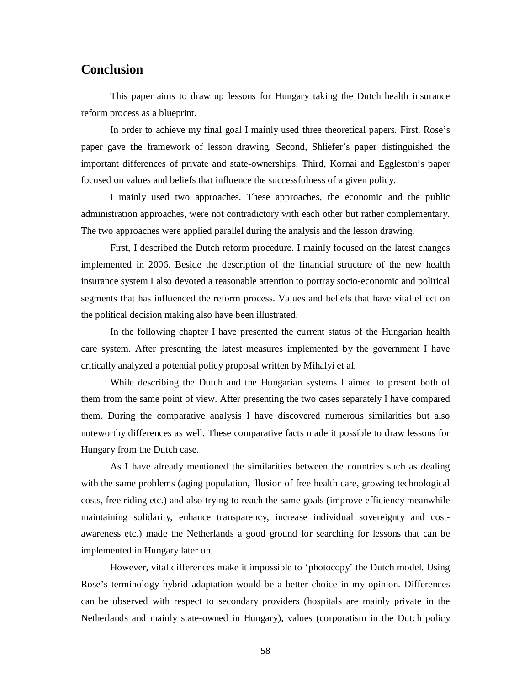## **Conclusion**

This paper aims to draw up lessons for Hungary taking the Dutch health insurance reform process as a blueprint.

In order to achieve my final goal I mainly used three theoretical papers. First, Rose's paper gave the framework of lesson drawing. Second, Shliefer's paper distinguished the important differences of private and state-ownerships. Third, Kornai and Eggleston's paper focused on values and beliefs that influence the successfulness of a given policy.

I mainly used two approaches. These approaches, the economic and the public administration approaches, were not contradictory with each other but rather complementary. The two approaches were applied parallel during the analysis and the lesson drawing.

First, I described the Dutch reform procedure. I mainly focused on the latest changes implemented in 2006. Beside the description of the financial structure of the new health insurance system I also devoted a reasonable attention to portray socio-economic and political segments that has influenced the reform process. Values and beliefs that have vital effect on the political decision making also have been illustrated.

In the following chapter I have presented the current status of the Hungarian health care system. After presenting the latest measures implemented by the government I have critically analyzed a potential policy proposal written by Mihalyi et al.

While describing the Dutch and the Hungarian systems I aimed to present both of them from the same point of view. After presenting the two cases separately I have compared them. During the comparative analysis I have discovered numerous similarities but also noteworthy differences as well. These comparative facts made it possible to draw lessons for Hungary from the Dutch case.

As I have already mentioned the similarities between the countries such as dealing with the same problems (aging population, illusion of free health care, growing technological costs, free riding etc.) and also trying to reach the same goals (improve efficiency meanwhile maintaining solidarity, enhance transparency, increase individual sovereignty and costawareness etc.) made the Netherlands a good ground for searching for lessons that can be implemented in Hungary later on.

However, vital differences make it impossible to 'photocopy' the Dutch model. Using Rose's terminology hybrid adaptation would be a better choice in my opinion. Differences can be observed with respect to secondary providers (hospitals are mainly private in the Netherlands and mainly state-owned in Hungary), values (corporatism in the Dutch policy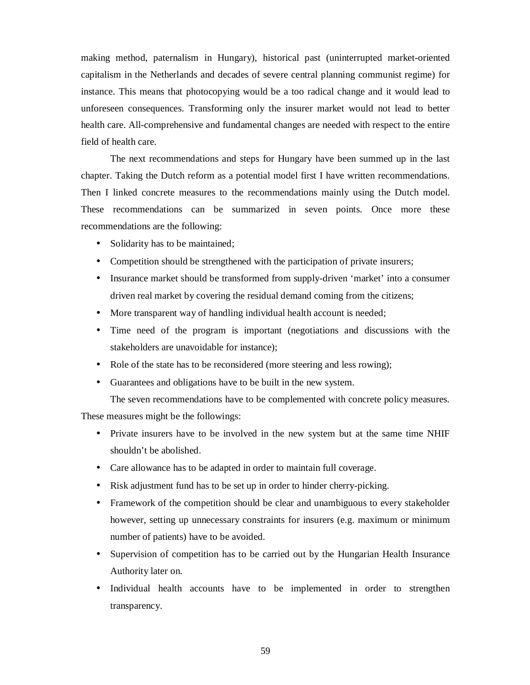making method, paternalism in Hungary), historical past (uninterrupted market-oriented capitalism in the Netherlands and decades of severe central planning communist regime) for instance. This means that photocopying would be a too radical change and it would lead to unforeseen consequences. Transforming only the insurer market would not lead to better health care. All-comprehensive and fundamental changes are needed with respect to the entire field of health care.

The next recommendations and steps for Hungary have been summed up in the last chapter. Taking the Dutch reform as a potential model first I have written recommendations. Then I linked concrete measures to the recommendations mainly using the Dutch model. These recommendations can be summarized in seven points. Once more these recommendations are the following:

- Solidarity has to be maintained;
- Competition should be strengthened with the participation of private insurers;
- Insurance market should be transformed from supply-driven 'market' into a consumer driven real market by covering the residual demand coming from the citizens;
- More transparent way of handling individual health account is needed;
- Time need of the program is important (negotiations and discussions with the stakeholders are unavoidable for instance);
- Role of the state has to be reconsidered (more steering and less rowing);
- Guarantees and obligations have to be built in the new system.
	- The seven recommendations have to be complemented with concrete policy measures.

These measures might be the followings:

- Private insurers have to be involved in the new system but at the same time NHIF shouldn't be abolished.
- Care allowance has to be adapted in order to maintain full coverage.
- Risk adjustment fund has to be set up in order to hinder cherry-picking.
- Framework of the competition should be clear and unambiguous to every stakeholder however, setting up unnecessary constraints for insurers (e.g. maximum or minimum number of patients) have to be avoided.
- Supervision of competition has to be carried out by the Hungarian Health Insurance Authority later on.
- Individual health accounts have to be implemented in order to strengthen transparency.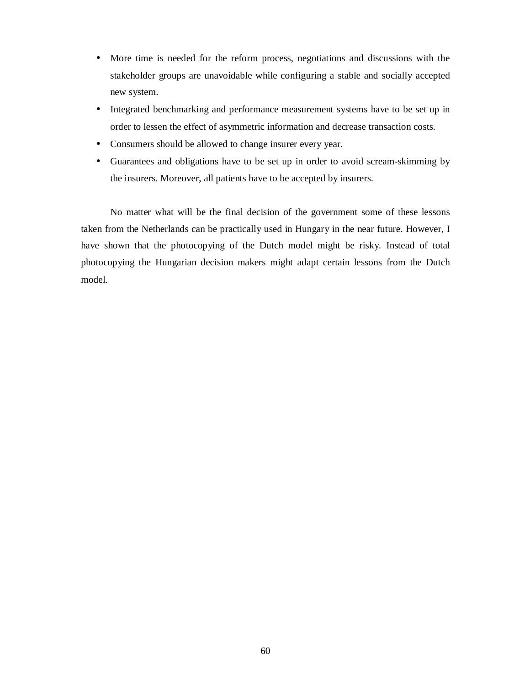- More time is needed for the reform process, negotiations and discussions with the stakeholder groups are unavoidable while configuring a stable and socially accepted new system.
- Integrated benchmarking and performance measurement systems have to be set up in order to lessen the effect of asymmetric information and decrease transaction costs.
- Consumers should be allowed to change insurer every year.
- Guarantees and obligations have to be set up in order to avoid scream-skimming by the insurers. Moreover, all patients have to be accepted by insurers.

No matter what will be the final decision of the government some of these lessons taken from the Netherlands can be practically used in Hungary in the near future. However, I have shown that the photocopying of the Dutch model might be risky. Instead of total photocopying the Hungarian decision makers might adapt certain lessons from the Dutch model.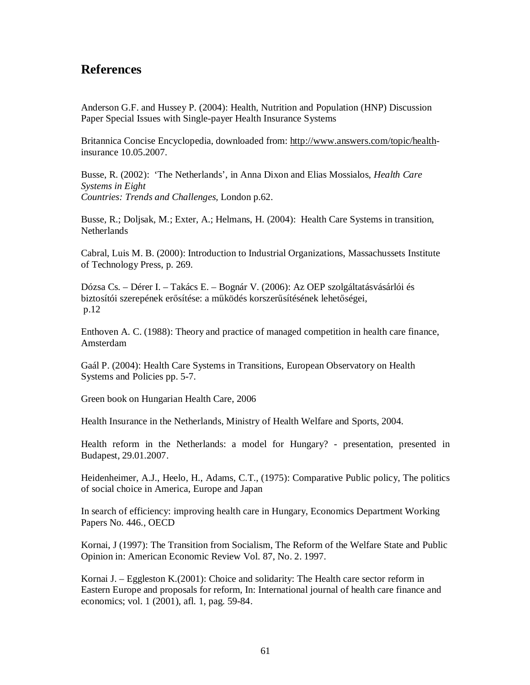## **References**

Anderson G.F. and Hussey P. (2004): Health, Nutrition and Population (HNP) Discussion Paper Special Issues with Single-payer Health Insurance Systems

Britannica Concise Encyclopedia, downloaded from: <http://www.answers.com/topic/health>insurance 10.05.2007.

Busse, R. (2002): 'The Netherlands', in Anna Dixon and Elias Mossialos, *Health Care Systems in Eight Countries: Trends and Challenges,* London p.62.

Busse, R.; Doljsak, M.; Exter, A.; Helmans, H. (2004): Health Care Systems in transition, **Netherlands** 

Cabral, Luis M. B. (2000): Introduction to Industrial Organizations, Massachussets Institute of Technology Press, p. 269.

Dózsa Cs. – Dérer I. – Takács E. – Bognár V. (2006): Az OEP szolgáltatásvásárlói és biztosítói szerepének erősítése: a működés korszerűsítésének lehetőségei, p.12

Enthoven A. C. (1988): Theory and practice of managed competition in health care finance, Amsterdam

Gaál P. (2004): Health Care Systems in Transitions, European Observatory on Health Systems and Policies pp. 5-7.

Green book on Hungarian Health Care, 2006

Health Insurance in the Netherlands, Ministry of Health Welfare and Sports, 2004.

Health reform in the Netherlands: a model for Hungary? - presentation, presented in Budapest, 29.01.2007.

Heidenheimer, A.J., Heelo, H., Adams, C.T., (1975): Comparative Public policy, The politics of social choice in America, Europe and Japan

In search of efficiency: improving health care in Hungary, Economics Department Working Papers No. 446., OECD

Kornai, J (1997): The Transition from Socialism, The Reform of the Welfare State and Public Opinion in: American Economic Review Vol. 87, No. 2. 1997.

Kornai J. – Eggleston K.(2001): Choice and solidarity: The Health care sector reform in Eastern Europe and proposals for reform, In: International journal of health care finance and economics; vol. 1 (2001), afl. 1, pag. 59-84.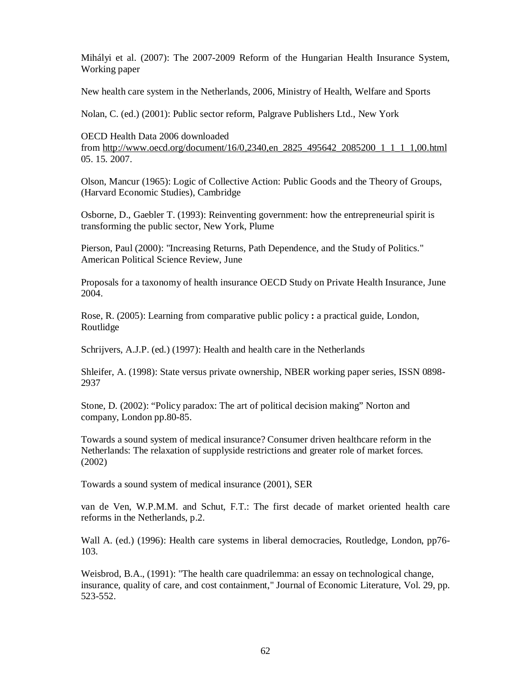Mihályi et al. (2007): The 2007-2009 Reform of the Hungarian Health Insurance System, Working paper

New health care system in the Netherlands, 2006, Ministry of Health, Welfare and Sports

Nolan, C. (ed.) (2001): Public sector reform, Palgrave Publishers Ltd., New York

OECD Health Data 2006 downloaded from [http://www.oecd.org/document/16/0,2340,en\\_2825\\_495642\\_2085200\\_1\\_1\\_1\\_1,00.html](http://www.oecd.org/document/16/0,2340,en_2825_495642_2085200_1_1_1_1,00.html) 05. 15. 2007.

Olson, Mancur (1965): Logic of Collective Action: Public Goods and the Theory of Groups, (Harvard Economic Studies), Cambridge

Osborne, D., Gaebler T. (1993): Reinventing government: how the entrepreneurial spirit is transforming the public sector, New York, Plume

Pierson, Paul (2000): "Increasing Returns, Path Dependence, and the Study of Politics." American Political Science Review, June

Proposals for a taxonomy of health insurance OECD Study on Private Health Insurance, June 2004.

Rose, R. (2005): Learning from comparative public policy **:** a practical guide, London, Routlidge

Schrijvers, A.J.P. (ed.) (1997): Health and health care in the Netherlands

Shleifer, A. (1998): State versus private ownership, NBER working paper series, ISSN 0898- 2937

Stone, D. (2002): "Policy paradox: The art of political decision making" Norton and company, London pp.80-85.

Towards a sound system of medical insurance? Consumer driven healthcare reform in the Netherlands: The relaxation of supplyside restrictions and greater role of market forces. (2002)

Towards a sound system of medical insurance (2001), SER

van de Ven, W.P.M.M. and Schut, F.T.: The first decade of market oriented health care reforms in the Netherlands, p.2.

Wall A. (ed.) (1996): Health care systems in liberal democracies, Routledge, London, pp76- 103.

Weisbrod, B.A., (1991): "The health care quadrilemma: an essay on technological change, insurance, quality of care, and cost containment," Journal of Economic Literature, Vol. 29, pp. 523-552.